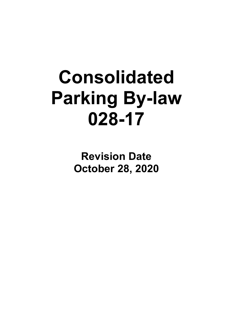# **Consolidated Parking By-law 028-17**

**Revision Date October 28, 2020**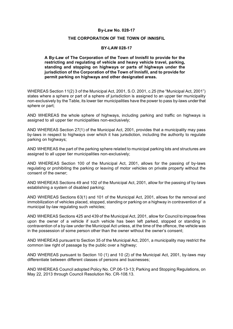#### **THE CORPORATION OF THE TOWN OF INNISFIL**

#### **BY-LAW 028-17**

#### **A By-Law of The Corporation of the Town of Innisfil to provide for the restricting and regulating of vehicle and heavy vehicle travel, parking, standing and stopping on highways or parts of highways under the jurisdiction of the Corporation of the Town of Innisfil, and to provide for permit parking on highways and other designated areas.**

WHEREAS Section 11(2) 3 of the Municipal Act, 2001, S.O. 2001, c.25 (the "Municipal Act, 2001") states where a sphere or part of a sphere of jurisdiction is assigned to an upper tier municipality non-exclusively by the Table, its lower tier municipalities have the power to pass by-laws under that sphere or part;

AND WHEREAS the whole sphere of highways, including parking and traffic on highways is assigned to all upper tier municipalities non-exclusively;

AND WHEREAS Section 27(1) of the Municipal Act, 2001, provides that a municipality may pass by-laws in respect to highways over which it has jurisdiction, including the authority to regulate parking on highways;

AND WHEREAS the part of the parking sphere related to municipal parking lots and structures are assigned to all upper tier municipalities non-exclusively;

AND WHEREAS Section 100 of the Municipal Act, 2001, allows for the passing of by-laws regulating or prohibiting the parking or leaving of motor vehicles on private property without the consent of the owner;

AND WHEREAS Sections 49 and 102 of the Municipal Act, 2001, allow for the passing of by-laws establishing a system of disabled parking;

AND WHEREAS Sections 63(1) and 101 of the Municipal Act, 2001, allows for the removal and immobilization of vehicles placed, stopped, standing or parking on a highway in contravention of a municipal by-law regulating such vehicles;

AND WHEREAS Sections 425 and 439 of the Municipal Act, 2001, allow for Council to impose fines upon the owner of a vehicle if such vehicle has been left parked, stopped or standing in contravention of a by-law under the Municipal Act unless, at the time of the offence, the vehicle was in the possession of some person other than the owner without the owner's consent;

AND WHEREAS pursuant to Section 35 of the Municipal Act, 2001, a municipality may restrict the common law right of passage by the public over a highway;

AND WHEREAS pursuant to Section 10 (1) and 10 (2) of the Municipal Act, 2001, by-laws may differentiate between different classes of persons and businesses;

AND WHEREAS Council adopted Policy No. CP.06-13-13; Parking and Stopping Regulations, on May 22, 2013 through Council Resolution No. CR-108.13.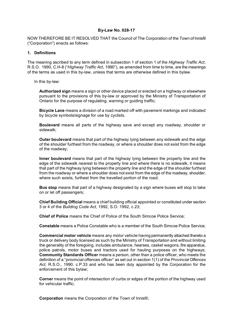NOW THEREFORE BE IT RESOLVED THAT the Council of The Corporation of the Town of Innisfil ("Corporation") enacts as follows:

## **1. Definitions**

The meaning ascribed to any term defined in subsection 1 of section 1 of the *Highway Traffic Act*, R.S.O. 1990, C.H-8 ("*Highway Traffic A*ct, 1990"), as amended from time to time, are the meanings of the terms as used in this by-law, unless that terms are otherwise defined in this bylaw.

In this by-law:

**Authorized sign** means a sign or other device placed or erected on a highway or elsewhere pursuant to the provisions of this by-law or approved by the Ministry of Transportation of Ontario for the purpose of regulating, warning or guiding traffic;

**Bicycle Lane** means a division of a road marked off with pavement markings and indicated by bicycle symbols/signage for use by cyclists.

**Boulevard** means all parts of the highway save and except any roadway, shoulder or sidewalk;

**Outer boulevard** means that part of the highway lying between any sidewalk and the edge of the shoulder furthest from the roadway, or where a shoulder does not exist from the edge of the roadway;

**Inner boulevard** means that part of the highway lying between the property line and the edge of the sidewalk nearest to the property line and where there is no sidewalk, it means that part of the highway lying between the property line and the edge of the shoulder furthest from the roadway or where a shoulder does not exist from the edge of the roadway, shoulder, where such exists, furthest from the travelled portion of the road:

**Bus stop** means that part of a highway designated by a sign where buses will stop to take on or let off passengers;

**Chief Building Official** means a chief building official appointed or constituted under section 3 or 4 of the *Building Code Act*, 1992, S.O. 1992, c.23;

**Chief of Police** means the Chief of Police of the South Simcoe Police Service;

**Constable** means a Police Constable who is a member of the South Simcoe Police Service;

**Commercial motor vehicle** means any motor vehicle having permanently attached thereto a truck or delivery body licensed as such by the Ministry of Transportation and without limiting the generality of the foregoing, includes ambulance, hearses, casket wagons, fire apparatus, police patrols, motor buses and tractors used for hauling purposes on the highways; **Community Standards Officer** means a person, other than a police officer, who meets the definition of a "provincial offences officer" as set out in section 1(1) of the *Provincial Offences Act,* R.S.O., 1990. c.P.33 and who has been duly appointed by the Corporation for the enforcement of this bylaw;

**Corner** means the point of intersection of curbs or edges of the portion of the highway used for vehicular traffic;

**Corporation** means the Corporation of the Town of Innisfil;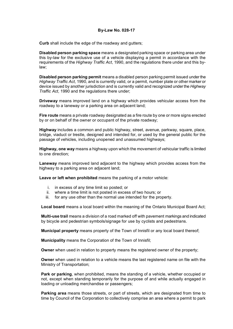**Curb** shall include the edge of the roadway and gutters;

**Disabled person parking space** means a designated parking space or parking area under this by-law for the exclusive use of a vehicle displaying a permit in accordance with the requirements of the *Highway Traffic Act*, 1990, and the regulations there under and this bylaw;

**Disabled person parking permit** means a disabled person parking permit issued under the *Highway Traffic Act*, 1990, and is currently valid, or a permit, number plate or other marker or device issued by another jurisdiction and is currently valid and recognized under the *Highway Traffic Act*, 1990 and the regulations there under;

**Driveway** means improved land on a highway which provides vehicular access from the roadway to a laneway or a parking area on adjacent land;

**Fire route** means a private roadway designated as a fire route by one or more signs erected by or on behalf of the owner or occupant of the private roadway;

**Highway** includes a common and public highway, street, avenue, parkway, square, place, bridge, viaduct or trestle, designed and intended for, or used by the general public for the passage of vehicles, including unopened and unassumed highways;

**Highway, one way** means a highway upon which the movement of vehicular traffic is limited to one direction;

**Laneway** means improved land adjacent to the highway which provides access from the highway to a parking area on adjacent land;

**Leave or left when prohibited** means the parking of a motor vehicle:

- i. in excess of any time limit so posted; or
- ii. where a time limit is not posted in excess of two hours; or
- iii. for any use other than the normal use intended for the property.

**Local board** means a local board within the meaning of the Ontario Municipal Board Act;

**Multi-use trail** means a division of a road marked off with pavement markings and indicated by bicycle and pedestrian symbols/signage for use by cyclists and pedestrians.

**Municipal property** means property of the Town of Innisfil or any local board thereof;

**Municipality** means the Corporation of the Town of Innisfil;

**Owner** when used in relation to property means the registered owner of the property;

**Owner** when used in relation to a vehicle means the last registered name on file with the Ministry of Transportation;

**Park or parking**, when prohibited, means the standing of a vehicle, whether occupied or not, except when standing temporarily for the purpose of and while actually engaged in loading or unloading merchandise or passengers;

**Parking area** means those streets, or part of streets, which are designated from time to time by Council of the Corporation to collectively comprise an area where a permit to park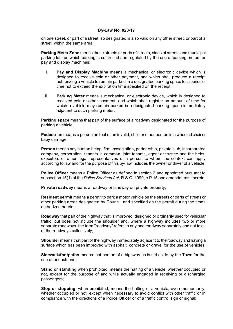on one street, or part of a street, so designated is also valid on any other street, or part of a street, within the same area;

**Parking Meter Zone** means those streets or parts of streets, sides of streets and municipal parking lots on which parking is controlled and regulated by the use of parking meters or pay and display machines:

- i. **Pay and Display Machine** means a mechanical or electronic device which is designed to receive coin or other payment, and which shall produce a receipt authorizing a vehicle to remain parked in a designated parking space for a period of time not to exceed the expiration time specified on the receipt.
- ii. **Parking Meter** means a mechanical or electronic device, which is designed to received coin or other payment, and which shall register an amount of time for which a vehicle may remain parked in a designated parking space immediately adjacent to such parking meter.

**Parking space** means that part of the surface of a roadway designated for the purpose of parking a vehicle;

**Pedestrian** means a person on foot or an invalid, child or other person in a wheeled chair or baby carriage;

**Person** means any human being, firm, association, partnership, private club, incorporated company, corporation, tenants in common, joint tenants, agent or trustee and the heirs, executors or other legal representatives of a person to whom the context can apply according to law and for the purpose of this by-law includes the owner or driver of a vehicle;

**Police Officer** means a Police Officer as defined in section 2 and appointed pursuant to subsection 15(1) of the *Police Services Act,* R.S.O. 1990, c.P.15 and amendments thereto;

**Private roadway** means a roadway or laneway on private property;

**Resident permit** means a permit to park a motor vehicle on the streets or parts of streets or other parking areas designated by Council, and specified on the permit during the times authorized herein;

**Roadway** that part of the highway that is improved, designed or ordinarily used for vehicular traffic, but does not include the shoulder and, where a highway includes two or more separate roadways, the term "roadway" refers to any one roadway separately and not to all of the roadways collectively;

**Shoulder** means that part of the highway immediately adjacent to the roadway and having a surface which has been improved with asphalt, concrete or gravel for the use of vehicles;

**Sidewalk/footpaths** means that portion of a highway as is set aside by the Town for the use of pedestrians;

**Stand or standing** when prohibited, means the halting of a vehicle, whether occupied or not, except for the purpose of and while actually engaged in receiving or discharging passengers;

**Stop or stopping**, when prohibited, means the halting of a vehicle, even momentarily, whether occupied or not, except when necessary to avoid conflict with other traffic or in compliance with the directions of a Police Officer or of a traffic control sign or signal;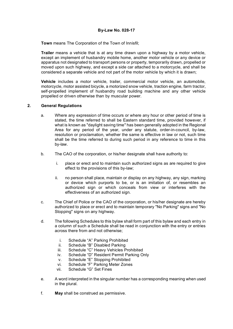**Town** means The Corporation of the Town of Innisfil;

**Trailer** means a vehicle that is at any time drawn upon a highway by a motor vehicle, except an implement of husbandry mobile home, another motor vehicle or any device or apparatus not designated to transport persons or property, temporarily drawn, propelled or moved upon such highway, and except a side car attached to a motorcycle, and shall be considered a separate vehicle and not part of the motor vehicle by which it is drawn;

**Vehicle** includes a motor vehicle, trailer, commercial motor vehicle, an automobile, motorcycle, motor assisted bicycle, a motorized snow vehicle, traction engine, farm tractor, self-propelled implement of husbandry road building machine and any other vehicle propelled or driven otherwise than by muscular power.

## **2. General Regulations**

- a. Where any expression of time occurs or where any hour or other period of time is stated, the time referred to shall be Eastern standard time, provided however, if what is known as "daylight saving time" has been generally adopted in the Regional Area for any period of the year, under any statute, order-in-council, by-law, resolution or proclamation, whether the same is effective in law or not, such time shall be the time referred to during such period in any reference to time in this by-law.
- b. The CAO of the corporation, or his/her designate shall have authority to:
	- i. place or erect and to maintain such authorized signs as are required to give effect to the provisions of this by-law;
	- ii. no person shall place, maintain or display on any highway, any sign, marking or device which purports to be, or is an imitation of, or resembles an authorized sign or which conceals from view or interferes with the effectiveness of an authorized sign.
- c. The Chief of Police or the CAO of the corporation, or his/her designate are hereby authorized to place or erect and to maintain temporary "No Parking" signs and "No Stopping" signs on any highway.
- d. The following Schedules to this bylaw shall form part of this bylaw and each entry in a column of such a Schedule shall be read in conjunction with the entry or entries across there from and not otherwise;
	- i. Schedule "A" Parking Prohibited
	- ii. Schedule "B" Disabled Parking
	- iii. Schedule "C" Heavy Vehicles Prohibited
	- iv. Schedule "D" Resident Permit Parking Only
	- v. Schedule "E" Stopping Prohibited
	- vi. Schedule "F" Parking Meter Zones
	- vii. Schedule "G" Set Fines
- e. A word interpreted in the singular number has a corresponding meaning when used in the plural.
- f. **May** shall be construed as permissive.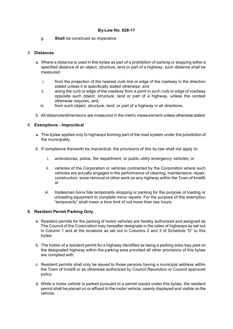g. **Shall** be construed as imperative.

## 3. **Distances**

- a. Where a distance is used in this bylaw as part of a prohibition of parking or stopping within a specified distance of an object, structure, land or part of a highway, such distance shall be measured:
	- i. from the projection of the nearest curb line or edge of the roadway in the direction stated unless it is specifically stated otherwise; and
	- ii. along the curb or edge of the roadway from a point in such curb or edge of roadway opposite such object, structure, land or part of a highway, unless the context otherwise requires, and;
	- iii. from such object, structure, land, or part of a highway in all directions.
- b. All distances/dimensions are measured in the metric measurement unless otherwise stated.

## 4. **Exemptions - Impractical**

- a. This bylaw applies only to highways forming part of the road system under the jurisdiction of the municipality.
- b. If compliance therewith be impractical, the provisions of this by-law shall not apply to:
	- i. ambulances, police, fire department, or public utility emergency vehicles; or
	- ii. vehicles of the Corporation or vehicles contracted by the Corporation where such vehicles are actually engaged in the performance of cleaning, maintenance, repair, construction, snow removal or other work on any highway within the Town of Innisfil; or
	- iii. tradesman bona fide temporarily stopping or parking for the purpose of loading or unloading equipment to complete minor repairs. For the purpose of this exemption "temporarily" shall mean a time limit of not more than two hours.

#### **5. Resident Permit Parking Only**

- a. Resident permits for the parking of motor vehicles are hereby authorized and assigned as The Council of the Corporation may hereafter designate in the sides of highways as set out in Column 1 and at the locations as set out in Columns 2 and 3 of Schedule "D" to this bylaw.
- b. The holder of a resident permit for a highway identified as being a parking area may park on the designated highway within the parking area provided all other provisions of this bylaw are complied with.
- c. Resident permits shall only be issued to those persons having a municipal address within the Town of Innisfil or as otherwise authorized by Council Resolution or Council approved policy.
- d. While a motor vehicle is parked pursuant to a permit issued under this bylaw, the resident permit shall be placed on or affixed to the motor vehicle, openly displayed and visible on the vehicle.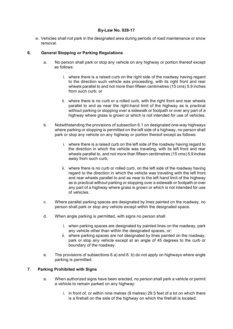e. Vehicles shall not park in the designated area during periods of road maintenance or snow removal.

## **6. General Stopping or Parking Regulations**

- a. No person shall park or stop any vehicle on any highway or portion thereof except as follows:
	- i. where there is a raised curb on the right side of the roadway having regard to the direction such vehicle was proceeding, with its right front and rear wheels parallel to and not more than fifteen centimetres (15 cms) 5.9 inches from such curb; or
	- ii. where there is no curb or a rolled curb, with the right front and rear wheels parallel to and as near the right-hand limit of the highway as is practical without parking or stopping over a sidewalk or footpath or over any part of a highway where grass is grown or which is not intended for use of vehicles.
- b. Notwithstanding the provisions of subsection 6.1 on designated one-way highways where parking or stopping is permitted on the left side of a highway, no person shall park or stop any vehicle on any highway or portion thereof except as follows:
	- i. where there is a raised curb on the left side of the roadway having regard to the direction in which the vehicle was traveling, with its left front and rear wheels parallel to, and not more than fifteen centimetres (15 cms) 5.9 inches away from such curb;
	- ii. where there is no curb or rolled curb, on the left side of the roadway having regard to the direction in which the vehicle was traveling with the left front and rear wheels parallel to and as near to the left hand limit of the highway as is practical without parking or stopping over a sidewalk or footpath or over any part of a highway where grass is grown or which is not intended for use of vehicles.
- c. Where parallel parking spaces are designated by lines painted on the roadway, no person shall park or stop any vehicle except within the designated space.
- d. When angle parking is permitted, with signs no person shall:
	- i. when parking spaces are designated by painted lines on the roadway, park any vehicle other than within the designated spaces, or;
	- ii. where parking spaces are not designated by lines painted on the roadway, park or stop any vehicle except at an angle of 45 degrees to the curb or boundary of the roadway.
- e. The provisions of subsections 6.a) and 6. b) do not apply on highways where angle parking is permitted.

## **7. Parking Prohibited with Signs**

- a. When authorized signs have been erected, no person shall park a vehicle or permit a vehicle to remain parked on any highway:
	- i. in front of, or within nine metres (9 metres) 29.5 feet of a lot on which there is a firehall on the side of the highway on which the firehall is located;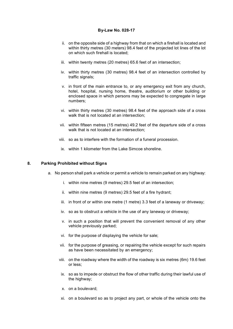- ii. on the opposite side of a highway from that on which a firehall is located and within thirty metres (30 meters) 98.4 feet of the projected lot lines of the lot on which such firehall is located;
- iii. within twenty metres (20 metres) 65.6 feet of an intersection;
- iv. within thirty metres (30 metres) 98.4 feet of an intersection controlled by traffic signals:
- v. in front of the main entrance to, or any emergency exit from any church, hotel, hospital, nursing home, theatre, auditorium or other building or enclosed space in which persons may be expected to congregate in large numbers;
- vi. within thirty metres (30 metres) 98.4 feet of the approach side of a cross walk that is not located at an intersection;
- vii. within fifteen metres (15 metres) 49.2 feet of the departure side of a cross walk that is not located at an intersection;
- viii. so as to interfere with the formation of a funeral procession.
- ix. within 1 kilometer from the Lake Simcoe shoreline.

## **8. Parking Prohibited without Signs**

- a. No person shall park a vehicle or permit a vehicle to remain parked on any highway:
	- i. within nine metres (9 metres) 29.5 feet of an intersection;
	- ii. within nine metres (9 metres) 29.5 feet of a fire hydrant;
	- iii. in front of or within one metre (1 metre) 3.3 feet of a laneway or driveway;
	- iv. so as to obstruct a vehicle in the use of any laneway or driveway;
	- v. in such a position that will prevent the convenient removal of any other vehicle previously parked;
	- vi. for the purpose of displaying the vehicle for sale;
	- vii. for the purpose of greasing, or repairing the vehicle except for such repairs as have been necessitated by an emergency;
	- viii. on the roadway where the width of the roadway is six metres (6m) 19.6 feet or less;
	- ix. so as to impede or obstruct the flow of other traffic during their lawful use of the highway;
	- x. on a boulevard;
	- xi. on a boulevard so as to project any part, or whole of the vehicle onto the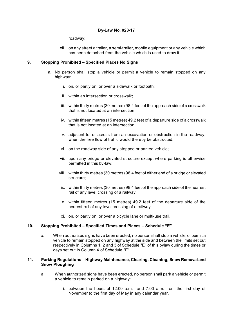roadway;

xii. on any street a trailer, a semi-trailer, mobile equipment or any vehicle which has been detached from the vehicle which is used to draw it.

## **9. Stopping Prohibited – Specified Places No Signs**

- a. No person shall stop a vehicle or permit a vehicle to remain stopped on any highway:
	- i. on, or partly on, or over a sidewalk or footpath;
	- ii. within an intersection or crosswalk;
	- iii. within thirty metres (30 metres) 98.4 feet of the approach side of a crosswalk that is not located at an intersection;
	- iv. within fifteen metres (15 metres) 49.2 feet of a departure side of a crosswalk that is not located at an intersection;
	- v. adjacent to, or across from an excavation or obstruction in the roadway, when the free flow of traffic would thereby be obstructed;
	- vi. on the roadway side of any stopped or parked vehicle;
	- vii. upon any bridge or elevated structure except where parking is otherwise permitted in this by-law;
	- viii. within thirty metres (30 metres) 98.4 feet of either end of a bridge or elevated structure;
	- ix. within thirty metres (30 metres) 98.4 feet of the approach side of the nearest rail of any level crossing of a railway;
	- x. within fifteen metres (15 metres) 49.2 feet of the departure side of the nearest rail of any level crossing of a railway.
	- xi. on, or partly on, or over a bicycle lane or multi-use trail.

## **10. Stopping Prohibited – Specified Times and Places – Schedule "E"**

a. When authorized signs have been erected, no person shall stop a vehicle, or permit a vehicle to remain stopped on any highway at the side and between the limits set out respectively in Columns 1, 2 and 3 of Schedule "E" of this bylaw during the times or days set out in Column 4 of Schedule "E".

#### **11. Parking Regulations – Highway Maintenance, Clearing, Cleaning, Snow Removal and Snow Ploughing**

- a. When authorized signs have been erected, no person shall park a vehicle or permit a vehicle to remain parked on a highway:
	- i. between the hours of 12:00 a.m. and 7:00 a.m. from the first day of November to the first day of May in any calendar year.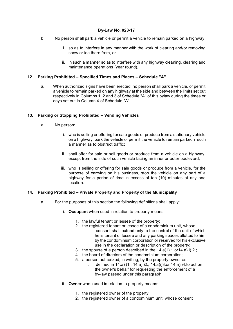- b. No person shall park a vehicle or permit a vehicle to remain parked on a highway:
	- i. so as to interfere in any manner with the work of clearing and/or removing snow or ice there from, or
	- ii. in such a manner so as to interfere with any highway cleaning, clearing and maintenance operations (year round).

## **12. Parking Prohibited – Specified Times and Places – Schedule "A"**

a. When authorized signs have been erected, no person shall park a vehicle, or permit a vehicle to remain parked on any highway at the side and between the limits set out respectively in Columns 1, 2 and 3 of Schedule "A" of this bylaw during the times or days set out in Column 4 of Schedule "A".

## **13. Parking or Stopping Prohibited – Vending Vehicles**

- a. No person:
	- i. who is selling or offering for sale goods or produce from a stationary vehicle on a highway, park the vehicle or permit the vehicle to remain parked in such a manner as to obstruct traffic;
	- ii. shall offer for sale or sell goods or produce from a vehicle on a highway, except from the side of such vehicle facing an inner or outer boulevard;
	- iii. who is selling or offering for sale goods or produce from a vehicle, for the purpose of carrying on his business, stop the vehicle on any part of a highway for a period of time in excess of ten (10) minutes at any one location.

#### **14. Parking Prohibited – Private Property and Property of the Municipality**

- a. For the purposes of this section the following definitions shall apply:
	- i. **Occupant** when used in relation to property means:
		- 1. the lawful tenant or lessee of the property;
		- 2. the registered tenant or lessee of a condominium unit, whose
			- i. consent shall extend only to the control of the unit of which he is tenant or lessee and any parking spaces allotted to him by the condominium corporation or reserved for his exclusive use in the declaration or description of the property;
		- 3. the spouse of a person described in the 14.a) i) 1.or14.a) i) 2.;
		- 4. the board of directors of the condominium corporation;
		- 5. a person authorized, in writing, by the property owner as
			- i. defined in 14.a)i)1., 14.a)i)2., 14.a)i)3.or 14.a)i)4.to act on the owner's behalf for requesting the enforcement of a by-law passed under this paragraph.
	- ii. **Owner** when used in relation to property means:
		- 1. the registered owner of the property;
		- 2. the registered owner of a condominium unit, whose consent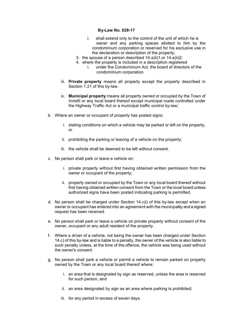- i. shall extend only to the control of the unit of which he is owner and any parking spaces allotted to him by the condominium corporation or reserved for his exclusive use in the declaration or description of the property;
- 3. the spouse of a person described  $14.a$ )ii) $1.$ or  $14.a$ )ii) $2;$
- 4. where the property is included in a description registered i. under the Condominium Act, the board of directors of the condominium corporation.
- iii. **Private property** means all property except the property described in Section 1.21 of this by-law.
- iv. **Municipal property** means all property owned or occupied by the Town of Innisfil or any local board thereof except municipal roads controlled under the Highway Traffic Act or a municipal traffic control by-law;
- b. Where an owner or occupant of property has posted signs:
	- i. stating conditions on which a vehicle may be parked or left on the property, or
	- ii. prohibiting the parking or leaving of a vehicle on the property;
	- iii. the vehicle shall be deemed to be left without consent.
- c. No person shall park or leave a vehicle on:
	- i. private property without first having obtained written permission from the owner or occupant of the property;
	- ii. property owned or occupied by the Town or any local board thereof without first having obtained written consent from the Town or the local board unless authorized signs have been posted indicating parking is permitted.
- d. No person shall be charged under Section 14.c)i) of this by-law except when an owner or occupant has entered into an agreement with the municipality and a signed request has been received.
- e. No person shall park or leave a vehicle on private property without consent of the owner, occupant or any adult resident of the property.
- f. Where a driver of a vehicle, not being the owner has been charged under Section 14.c) of this by-law and is liable to a penalty, the owner of the vehicle is also liable to such penalty unless, at the time of the offence, the vehicle was being used without the owner's consent.
- g. No person shall park a vehicle or permit a vehicle to remain parked on property owned by the Town or any local board thereof where:
	- i. an area that is designated by sign as reserved, unless the area is reserved for such person, and
	- ii. an area designated by sign as an area where parking is prohibited;
	- iii. for any period in excess of seven days.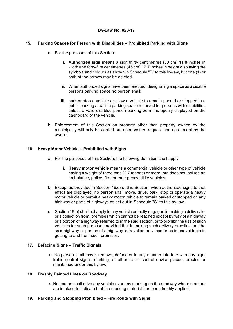## **15. Parking Spaces for Person with Disabilities – Prohibited Parking with Signs**

- a. For the purposes of this Section:
	- i. **Authorized sign** means a sign thirty centimetres (30 cm) 11.8 inches in width and forty-five centimetres (45 cm) 17.7 inches in height displaying the symbols and colours as shown in Schedule "B" to this by-law, but one (1) or both of the arrows may be deleted.
	- ii. When authorized signs have been erected, designating a space as a disable persons parking space no person shall:
	- iii. park or stop a vehicle or allow a vehicle to remain parked or stopped in a public parking area in a parking space reserved for persons with disabilities unless a valid disabled person parking permit is openly displayed on the dashboard of the vehicle.
- b. Enforcement of this Section on property other than property owned by the municipality will only be carried out upon written request and agreement by the owner.

## **16. Heavy Motor Vehicle – Prohibited with Signs**

- a. For the purposes of this Section, the following definition shall apply:
	- i. **Heavy motor vehicle** means a commercial vehicle or other type of vehicle having a weight of three tons (2.7 tonnes) or more, but does not include an ambulance, police, fire, or emergency utility vehicles.
- b. Except as provided in Section 16.c) of this Section, when authorized signs to that effect are displayed, no person shall move, drive, park, stop or operate a heavy motor vehicle or permit a heavy motor vehicle to remain parked or stopped on any highway or parts of highways as set out in Schedule "C" to this by-law.
- c. Section 16.b) shall not apply to any vehicle actually engaged in making a delivery to, or a collection from, premises which cannot be reached except by way of a highway or a portion of a highway referred to in the said section, or to prohibit the use of such vehicles for such purpose, provided that in making such delivery or collection, the said highway or portion of a highway is travelled only insofar as is unavoidable in getting to and from such premises.

#### **17. Defacing Signs – Traffic Signals**

a. No person shall move, remove, deface or in any manner interfere with any sign, traffic control signal, marking, or other traffic control device placed, erected or maintained under this bylaw.

#### **18. Freshly Painted Lines on Roadway**

a. No person shall drive any vehicle over any marking on the roadway where markers are in place to indicate that the marking material has been freshly applied.

#### **19. Parking and Stopping Prohibited – Fire Route with Signs**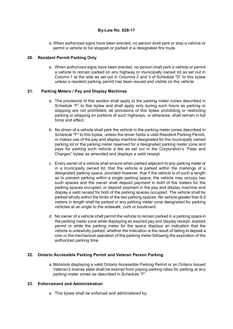a. When authorized signs have been erected, no person shall park or stop a vehicle or permit a vehicle to be stopped or parked in a designated fire route.

## **20. Resident Permit Parking Only**

a. When authorized signs have been erected, no person shall park a vehicle or permit a vehicle to remain parked on any highway or municipally owned lot as set out in Column 1 at the side as set out in Columns 2 and 3 of Schedule "D" to this bylaw unless a resident parking permit has been issued and visible on the vehicle.

## **21. Parking Meters / Pay and Display Machines**

- a. The provisions of this section shall apply to the parking meter zones described in Schedule "F" to this bylaw and shall apply only during such hours as parking or stopping are not prohibited; all provisions of this bylaw prohibiting or restricting parking or stopping on portions of such highways, or otherwise, shall remain in full force and effect.
- b. No driver of a vehicle shall park the vehicle in the parking meter zones described in Schedule "F" to this bylaw, unless the driver holds a valid Resident Parking Permit, or makes use of the pay and display machine designated for the municipally owned parking lot or the parking meter reserved for a designated parking meter zone and pays for parking such vehicle a fee as set out in the Corporation's "Fees and Charges" bylaw as amended and displays a valid receipt.
- c. Every owner of a vehicle shall ensure when parked adjacent to any parking meter or in a municipally owned lot, that the vehicle is parked within the markings of a designated parking space, provided however, that if the vehicle is of such a length as to prevent parking within a single parking space, the vehicle may occupy two such spaces and the owner shall deposit payment in both of the meters for the parking spaces occupied, or deposit payment in the pay and display machine and display a valid receipt for both of the parking spaces occupied. The vehicle shall be parked wholly within the limits of the two parking spaces. No vehicle greater than 6.5 meters in length shall be parked in any parking meter zone designated for parking vehicles at an angle to the sidewalk, curb or boulevard.
- d. No owner of a vehicle shall permit the vehicle to remain parked in a parking space in the parking meter zone while displaying an expired pay and display receipt, expired permit or while the parking meter for the space displays an indication that the vehicle is unlawfully parked, whether the indication is the result of failing to deposit a coin or the mechanical operation of the parking meter following the expiration of the authorized parking time.

## **22. Ontario Accessible Parking Permit and Veteran Person Parking**

a. Motorists displaying a valid Ontario Accessible Parking Permit or an Ontario Issued Veteran's license plate shall be exempt from paying parking rates for parking at any parking meter zones as described in Schedule "F".

## **23. Enforcement and Administration**

a. This bylaw shall be enforced and administered by: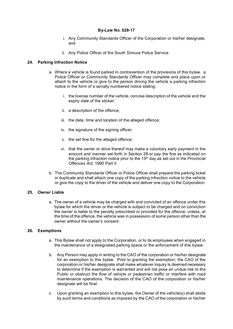- i. Any Community Standards Officer of the Corporation or his/her designate, and
- ii. Any Police Officer of the South Simcoe Police Service.

## **24. Parking Infraction Notice**

- a. Where a vehicle is found parked in contravention of the provisions of this bylaw, a Police Officer or Community Standards Officer may complete and place upon or attach to the vehicle or give to the person driving the vehicle a parking infraction notice in the form of a serially numbered notice stating:
	- i. the license number of the vehicle, concise description of the vehicle and the expiry date of the sticker;
	- ii. a description of the offence;
	- iii. the date, time and location of the alleged offence;
	- iv. the signature of the signing officer;
	- v. the set fine for the alleged offence;
	- vi. that the owner or drive thereof may make a voluntary early payment in the amount and manner set forth in Section 28 or pay the fine as indicated on the parking infraction notice prior to the 15th day as set out in the *Provincial Offences Act,* 1990 Part II.
- b. The Community Standards Officer or Police Officer shall prepare the parking ticket in duplicate and shall attach one copy of the parking infraction notice to the vehicle or give the copy to the driver of the vehicle and deliver one copy to the Corporation.

#### **25. Owner Liable**

a. The owner of a vehicle may be charged with and convicted of an offence under this bylaw for which the driver or the vehicle is subject to be charged and on conviction the owner is liable to the penalty prescribed or provided for the offence, unless, at the time of the offence, the vehicle was in possession of some person other than the owner without the owner's consent.

#### **26. Exemptions**

- a. This Bylaw shall not apply to the Corporation, or to its employees when engaged in the maintenance of a designated parking space or the enforcement of this bylaw.
- b. Any Person may apply in writing to the CAO of the corporation or his/her designate for an exemption to this bylaw. Prior to granting the exemption, the CAO of the corporation or his/her designate shall make whatever inquiry is deemed necessary to determine if the exemption is warranted and will not pose an undue risk to the Public or obstruct the flow of vehicle or pedestrian traffic or interfere with road maintenance operations. The decision of the CAO of the corporation or his/her designate will be final.
- c. Upon granting an exemption to this bylaw, the Owner of the vehicle(s) shall abide by such terms and conditions as imposed by the CAO of the corporation or his/her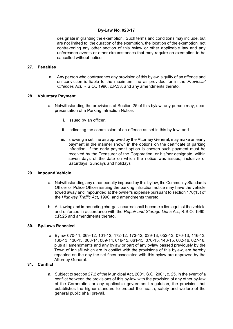designate in granting the exemption. Such terms and conditions may include, but are not limited to, the duration of the exemption, the location of the exemption, not contravening any other section of this bylaw or other applicable law and any unforeseen events or other circumstances that may require an exemption to be cancelled without notice.

## **27. Penalties**

a. Any person who contravenes any provision of this bylaw is guilty of an offence and on conviction is liable to the maximum fine as provided for in the *Provincial Offences Act,* R.S.O., 1990, c.P.33, and any amendments thereto.

## **28. Voluntary Payment**

- a. Notwithstanding the provisions of Section 25 of this bylaw, any person may, upon presentation of a Parking Infraction Notice:
	- i. issued by an officer,
	- ii. indicating the commission of an offence as set in this by-law, and
	- iii. showing a set fine as approved by the Attorney General, may make an early payment in the manner shown in the options on the certificate of parking infraction. If the early payment option is chosen such payment must be received by the Treasurer of the Corporation, or his/her designate, within seven days of the date on which the notice was issued, inclusive of Saturdays, Sundays and holidays

#### **29. Impound Vehicle**

- a. Notwithstanding any other penalty imposed by this bylaw, the Community Standards Officer or Police Officer issuing the parking infraction notice may have the vehicle towed away and impounded at the owner's expense pursuant to section 170(15) of the *Highway Traffic Act*, 1990, and amendments thereto.
- b. All towing and impounding charges incurred shall become a lien against the vehicle and enforced in accordance with the *Repair and Storage Liens* Act, R.S.O. 1990, c.R.25 and amendments thereto.

#### **30. By-Laws Repealed**

a. Bylaw 070-11, 069-12, 101-12, 172-12, 173-12, 039-13, 052-13, 070-13, 116-13, 130-13, 136-13, 068-14, 089-14, 016-15, 061-15, 076-15, 143-15, 002-16, 027-16, plus all amendments and any bylaw or part of any bylaw passed previously by the Town of Innisfil which are in conflict with the provisions of this bylaw, are hereby repealed on the day the set fines associated with this bylaw are approved by the Attorney General.

## **31. Conflict**

a. Subject to section 27.2 of the Municipal Act, 2001, S.O. 2001, c. 25, in the event of a conflict between the provisions of this by-law with the provision of any other by-law of the Corporation or any applicable government regulation, the provision that establishes the higher standard to protect the health, safety and welfare of the general public shall prevail.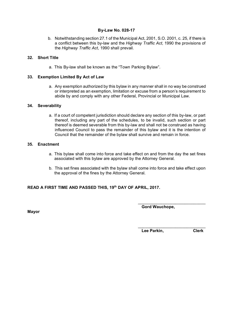b. Notwithstanding section 27.1 of the Municipal Act, 2001, S.O. 2001, c. 25, if there is a conflict between this by-law and the *Highway Traffic Act,* 1990 the provisions of the *Highway Traffic Act*, 1990 shall prevail.

## **32. Short Title**

a. This By-law shall be known as the "Town Parking Bylaw".

## **33. Exemption Limited By Act of Law**

a. Any exemption authorized by this bylaw in any manner shall in no way be construed or interpreted as an exemption, limitation or excuse from a person's requirement to abide by and comply with any other Federal, Provincial or Municipal Law.

## **34. Severability**

a. If a court of competent jurisdiction should declare any section of this by-law, or part thereof, including any part of the schedules, to be invalid, such section or part thereof is deemed severable from this by-law and shall not be construed as having influenced Council to pass the remainder of this bylaw and it is the intention of Council that the remainder of the bylaw shall survive and remain in force.

#### **35. Enactment**

- a. This bylaw shall come into force and take effect on and from the day the set fines associated with this bylaw are approved by the Attorney General.
- b. This set fines associated with the bylaw shall come into force and take effect upon the approval of the fines by the Attorney General.

## **READ A FIRST TIME AND PASSED THIS, 19th DAY OF APRIL, 2017.**

**Mayor**

 **Gord Wauchope,**

 $\overline{\phantom{a}}$  , which is a set of the set of the set of the set of the set of the set of the set of the set of the set of the set of the set of the set of the set of the set of the set of the set of the set of the set of th

 $\mathcal{L}=\mathcal{L}=\mathcal{L}=\mathcal{L}=\mathcal{L}=\mathcal{L}=\mathcal{L}=\mathcal{L}=\mathcal{L}=\mathcal{L}=\mathcal{L}=\mathcal{L}=\mathcal{L}=\mathcal{L}=\mathcal{L}=\mathcal{L}=\mathcal{L}=\mathcal{L}=\mathcal{L}=\mathcal{L}=\mathcal{L}=\mathcal{L}=\mathcal{L}=\mathcal{L}=\mathcal{L}=\mathcal{L}=\mathcal{L}=\mathcal{L}=\mathcal{L}=\mathcal{L}=\mathcal{L}=\mathcal{L}=\mathcal{L}=\mathcal{L}=\mathcal{L}=\mathcal{L}=\mathcal{$ 

**Lee Parkin, Clerk**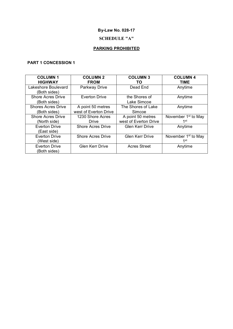# **SCHEDULE "A"**

# **PARKING PROHIBITED**

# **PART 1 CONCESSION 1**

| <b>COLUMN1</b>            | <b>COLUMN 2</b>          | <b>COLUMN 3</b>        | <b>COLUMN 4</b>                 |
|---------------------------|--------------------------|------------------------|---------------------------------|
| <b>HIGHWAY</b>            | <b>FROM</b>              | TO.                    | TIME                            |
| Lakeshore Boulevard       | Parkway Drive            | Dead End               | Anytime                         |
| (Both sides)              |                          |                        |                                 |
| <b>Shore Acres Drive</b>  | <b>Everton Drive</b>     | the Shores of          | Anytime                         |
| (Both sides)              |                          | Lake Simcoe            |                                 |
| <b>Shores Acres Drive</b> | A point 50 metres        | The Shores of Lake     | Anytime                         |
| (Both sides)              | west of Everton Drive    | Simcoe                 |                                 |
| <b>Shore Acres Drive</b>  | 1230 Shore Acres         | A point 50 metres      | November 1 <sup>st</sup> to May |
| (North side)              | Drive                    | west of Everton Drive  | 1st                             |
| <b>Everton Drive</b>      | <b>Shore Acres Drive</b> | <b>Glen Kerr Drive</b> | Anytime                         |
| (East side)               |                          |                        |                                 |
| <b>Everton Drive</b>      | <b>Shore Acres Drive</b> | <b>Glen Kerr Drive</b> | November 1 <sup>st</sup> to May |
| (West side)               |                          |                        | 1st                             |
| <b>Everton Drive</b>      | <b>Glen Kerr Drive</b>   | <b>Acres Street</b>    | Anytime                         |
| (Both sides)              |                          |                        |                                 |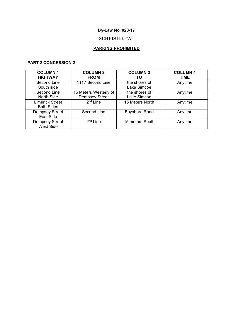# **SCHEDULE "A"**

# **PARKING PROHIBITED**

# **PART 2 CONCESSION 2**

| <b>COLUMN1</b><br><b>HIGHWAY</b>            | <b>COLUMN 2</b><br><b>FROM</b>                 | <b>COLUMN 3</b><br>то        | <b>COLUMN 4</b><br><b>TIME</b> |
|---------------------------------------------|------------------------------------------------|------------------------------|--------------------------------|
| Second Line<br>South side                   | 1117 Second Line                               | the shores of<br>Lake Simcoe | Anytime                        |
| Second Line<br>North Side                   | 15 Meters Westerly of<br><b>Dempsey Street</b> | the shores of<br>Lake Simcoe | Anytime                        |
| <b>Limerick Street</b><br><b>Both Sides</b> | $2nd$ Line                                     | 15 Meters North              | Anytime                        |
| <b>Dempsey Street</b><br>East Side          | Second Line                                    | <b>Bayshore Road</b>         | Anytime                        |
| <b>Dempsey Street</b><br><b>West Side</b>   | $2nd$ Line                                     | 15 meters South              | Anytime                        |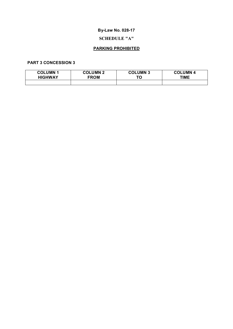# **SCHEDULE "A"**

# **PARKING PROHIBITED**

## **PART 3 CONCESSION 3**

| <b>COLUMN 1</b> | <b>COLUMN 2</b> | <b>COLUMN 3</b> | <b>COLUMN</b> |
|-----------------|-----------------|-----------------|---------------|
| <b>HIGHWAY</b>  | <b>FROM</b>     | ТС              | TIME          |
|                 |                 |                 |               |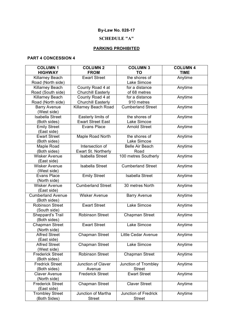## **SCHEDULE "A"**

# **PARKING PROHIBITED**

## **PART 4 CONCESSION 4**

| <b>COLUMN1</b>           | <b>COLUMN 2</b>           | <b>COLUMN 3</b>             | <b>COLUMN 4</b> |
|--------------------------|---------------------------|-----------------------------|-----------------|
| <b>HIGHWAY</b>           | <b>FROM</b>               | TO                          | <b>TIME</b>     |
| Killarney Beach          | <b>Ewart Street</b>       | the shores of               | Anytime         |
| Road (North side)        |                           | Lake Simcoe                 |                 |
| Killarney Beach          | County Road 4 at          | for a distance              | Anytime         |
| Road (South side)        | <b>Churchill Easterly</b> | of 68 metres                |                 |
| Killarney Beach          | County Road 4 at          | for a distance              | Anytime         |
| Road (North side)        | <b>Churchill Easterly</b> | 910 metres                  |                 |
| <b>Barry Avenue</b>      | Killarney Beach Road      | <b>Cumberland Street</b>    | Anytime         |
| (West side)              |                           |                             |                 |
| <b>Isabella Street</b>   | Easterly limits of        | the shores of               | Anytime         |
| (Both sides)             | <b>Ewart Street East</b>  | Lake Simcoe                 |                 |
| <b>Emily Street</b>      | <b>Evans Place</b>        | <b>Arnold Street</b>        | Anytime         |
| (East side)              |                           |                             |                 |
| <b>Ewart Street</b>      | Maple Road North          | the shores of               | Anytime         |
| (Both sides)             |                           | Lake Simcoe                 |                 |
| Maple Road               | Intersection of           | <b>Belle Air Beach</b>      | Anytime         |
| (Both sides)             | Ewart St. Northerly       | Road                        |                 |
| <b>Wisker Avenue</b>     | <b>Isabella Street</b>    | 100 metres Southerly        | Anytime         |
| (East side)              |                           |                             |                 |
| <b>Wisker Avenue</b>     | <b>Isabella Street</b>    | <b>Cumberland Street</b>    | Anytime         |
| (West side)              |                           |                             |                 |
| <b>Evans Place</b>       | <b>Emily Street</b>       | <b>Isabella Street</b>      | Anytime         |
| (North side)             |                           |                             |                 |
| <b>Wisker Avenue</b>     | <b>Cumberland Street</b>  | 30 metres North             | Anytime         |
| (East side)              |                           |                             |                 |
| <b>Cumberland Avenue</b> | <b>Wisker Avenue</b>      | <b>Barry Avenue</b>         | Anytime         |
| (Both sides)             |                           |                             |                 |
| <b>Robinson Street</b>   | <b>Ewart Street</b>       | Lake Simcoe                 | Anytime         |
| (South side)             |                           |                             |                 |
| Sheppard's Trail         | <b>Robinson Street</b>    | <b>Chapman Street</b>       | Anytime         |
| (Both sides)             |                           |                             |                 |
| Chapman Street           | <b>Ewart Street</b>       | Lake Simcoe                 | Anytime         |
| (North side)             |                           |                             |                 |
| <b>Alfred Street</b>     | <b>Chapman Street</b>     | <b>Little Cedar Avenue</b>  | Anytime         |
| (East side)              |                           |                             |                 |
| <b>Alfred Street</b>     | <b>Chapman Street</b>     | Lake Simcoe                 | Anytime         |
| (West side)              |                           |                             |                 |
| <b>Frederick Street</b>  | <b>Robinson Street</b>    | <b>Chapman Street</b>       | Anytime         |
| (Both sides)             |                           |                             |                 |
| <b>Fredrick Street</b>   | Junction of Claver        | Junction of Trombley        | Anytime         |
| (Both sides)             | Avenue                    | <b>Street</b>               |                 |
| <b>Claver Avenue</b>     | <b>Frederick Street</b>   | <b>Ewart Street</b>         | Anytime         |
| (North side)             |                           |                             |                 |
| <b>Frederick Street</b>  | Chapman Street            | <b>Claver Street</b>        | Anytime         |
| (East side)              |                           |                             |                 |
| <b>Trombley Street</b>   | Junction of Martha        | <b>Junction of Fredrick</b> | Anytime         |
| (Both Sides)             | <b>Street</b>             | <b>Street</b>               |                 |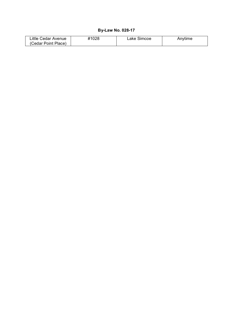| ∟ittle Cedar Avenue⊹             | 1028 | ake Simcoe | Anvtıme |
|----------------------------------|------|------------|---------|
| $\sqrt{C}$<br>Cedar Point Place) |      |            |         |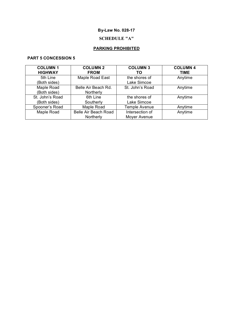# **SCHEDULE "A"**

# **PARKING PROHIBITED**

## **PART 5 CONCESSION 5**

| <b>COLUMN1</b>  | <b>COLUMN 2</b>      | <b>COLUMN 3</b> | <b>COLUMN 4</b> |
|-----------------|----------------------|-----------------|-----------------|
| <b>HIGHWAY</b>  | <b>FROM</b>          | ΤO              | TIME            |
| 5th Line        | Maple Road East      | the shores of   | Anytime         |
| (Both sides)    |                      | Lake Simcoe     |                 |
| Maple Road      | Belle Air Beach Rd.  | St. John's Road | Anytime         |
| (Both sides)    | Northerly            |                 |                 |
| St. John's Road | 6th Line             | the shores of   | Anytime         |
| (Both sides)    | Southerly            | Lake Simcoe     |                 |
| Spooner's Road  | Maple Road           | Temple Avenue   | Anytime         |
| Maple Road      | Belle Air Beach Road | Intersection of | Anytime         |
|                 | Northerly            | Moyer Avenue    |                 |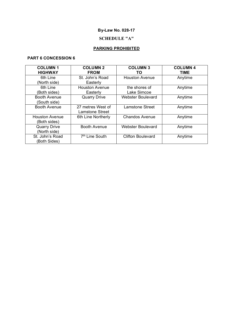# **SCHEDULE "A"**

# **PARKING PROHIBITED**

## **PART 6 CONCESSION 6**

| <b>COLUMN1</b>        | <b>COLUMN 2</b>            | <b>COLUMN 3</b>          | <b>COLUMN 4</b> |
|-----------------------|----------------------------|--------------------------|-----------------|
| <b>HIGHWAY</b>        | <b>FROM</b>                | TO.                      | <b>TIME</b>     |
| 6th Line              | St. John's Road            | <b>Houston Avenue</b>    | Anytime         |
| (North side)          | Easterly                   |                          |                 |
| 6th Line              | <b>Houston Avenue</b>      | the shores of            | Anytime         |
| (Both sides)          | Easterly                   | Lake Simcoe              |                 |
| <b>Booth Avenue</b>   | <b>Quarry Drive</b>        | <b>Webster Boulevard</b> | Anytime         |
| (South side)          |                            |                          |                 |
| <b>Booth Avenue</b>   | 27 metres West of          | <b>Lamstone Street</b>   | Anytime         |
|                       | Lamstone Street            |                          |                 |
| <b>Houston Avenue</b> | 6th Line Northerly         | <b>Chandos Avenue</b>    | Anytime         |
| (Both sides)          |                            |                          |                 |
| <b>Quarry Drive</b>   | <b>Booth Avenue</b>        | <b>Webster Boulevard</b> | Anytime         |
| (North side)          |                            |                          |                 |
| St. John's Road       | 7 <sup>th</sup> Line South | <b>Clifton Boulevard</b> | Anytime         |
| (Both Sides)          |                            |                          |                 |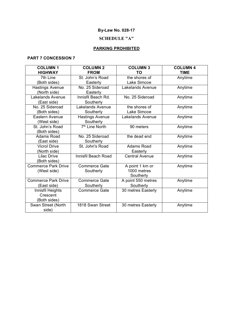# **SCHEDULE "A"**

# **PARKING PROHIBITED**

## **PART 7 CONCESSION 7**

| <b>COLUMN1</b>             | <b>COLUMN 2</b>            | <b>COLUMN 3</b>         | <b>COLUMN 4</b> |
|----------------------------|----------------------------|-------------------------|-----------------|
| <b>HIGHWAY</b>             | <b>FROM</b>                | ТΟ                      | <b>TIME</b>     |
| 7th Line                   | St. John's Road            | the shores of           | Anytime         |
| (Both sides)               | Easterly                   | Lake Simcoe             |                 |
| <b>Hastings Avenue</b>     | No. 25 Sideroad            | <b>Lakelands Avenue</b> | Anytime         |
| (North side)               | Easterly                   |                         |                 |
| Lakelands Avenue           | Innisfil Beach Rd.         | No. 25 Sideroad         | Anytime         |
| (East side)                | Southerly                  |                         |                 |
| No. 25 Sideroad            | <b>Lakelands Avenue</b>    | the shores of           | Anytime         |
| (Both sides)               | Southerly                  | Lake Simcoe             |                 |
| Eastern Avenue             | <b>Hastings Avenue</b>     | <b>Lakelands Avenue</b> | Anytime         |
| (West side)                | Southerly                  |                         |                 |
| St. John's Road            | 7 <sup>th</sup> Line North | 90 meters               | Anytime         |
| (Both sides)               |                            |                         |                 |
| Adams Road                 | No. 25 Sideroad            | the dead end            | Anytime         |
| (East side)                | Southerly                  |                         |                 |
| <b>Vicrol Drive</b>        | St. John's Road            | <b>Adams Road</b>       | Anytime         |
| (North side)               |                            | Easterly                |                 |
| <b>Lilac Drive</b>         | <b>Innisfil Beach Road</b> | <b>Central Avenue</b>   | Anytime         |
| (Both sides)               |                            |                         |                 |
| <b>Commerce Park Drive</b> | <b>Commerce Gate</b>       | A point 1 km or         | Anytime         |
| (West side)                | Southerly                  | 1000 metres             |                 |
|                            |                            | Southerly               |                 |
| <b>Commerce Park Drive</b> | <b>Commerce Gate</b>       | A point 550 metres      | Anytime         |
| (East side)                | Southerly                  | Southerly               |                 |
| Innisfil Heights           | <b>Commerce Gate</b>       | 30 metres Easterly      | Anytime         |
| Crescent                   |                            |                         |                 |
| (Both sides)               |                            |                         |                 |
| Swan Street (North         | 1818 Swan Street           | 30 metres Easterly      | Anytime         |
| side)                      |                            |                         |                 |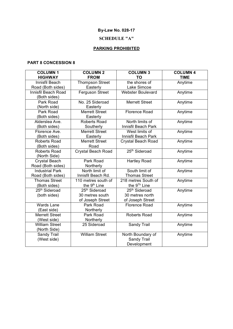# **SCHEDULE "A"**

# **PARKING PROHIBITED**

## **PART 8 CONCESSION 8**

| <b>COLUMN1</b><br><b>HIGHWAY</b>            | <b>COLUMN 2</b><br><b>FROM</b>                                   | <b>COLUMN 3</b><br><b>TO</b>                                     | <b>COLUMN 4</b><br><b>TIME</b> |
|---------------------------------------------|------------------------------------------------------------------|------------------------------------------------------------------|--------------------------------|
| Innisfil Beach                              | <b>Thompson Street</b>                                           | the shores of                                                    | Anytime                        |
| Road (Both sides)                           | Easterly                                                         | Lake Simcoe                                                      |                                |
| Innisfil Beach Road<br>(Both sides)         | <b>Ferguson Street</b>                                           | <b>Webster Boulevard</b>                                         | Anytime                        |
| Park Road<br>(North side)                   | No. 25 Sideroad<br>Easterly                                      | <b>Merrett Street</b>                                            | Anytime                        |
| Park Road<br>(Both sides)                   | <b>Merrett Street</b><br>Easterly                                | <b>Florence Road</b>                                             | Anytime                        |
| Alderslea Ave.<br>(Both sides)              | <b>Roberts Road</b><br>Southerly                                 | North limits of<br>Innisfil Beach Park                           | Anytime                        |
| Florence Ave.<br>(Both sides)               | <b>Merrett Street</b><br>Easterly                                | West limits of<br>Innisfil Beach Park                            | Anytime                        |
| <b>Roberts Road</b><br>(Both sides)         | <b>Merrett Street</b><br>Road                                    | <b>Crystal Beach Road</b>                                        | Anytime                        |
| <b>Roberts Road</b><br>(North Side)         | <b>Crystal Beach Road</b>                                        | 25 <sup>th</sup> Sideroad                                        | Anytime                        |
| <b>Crystal Beach</b><br>Road (Both sides)   | Park Road<br>Northerly                                           | <b>Hartley Road</b>                                              | Anytime                        |
| <b>Industrial Park</b><br>Road (Both sides) | North limit of<br>Innisfil Beach Rd.                             | South limit of<br><b>Thomas Street</b>                           | Anytime                        |
| <b>Thomas Street</b><br>(Both sides)        | 110 metres south of<br>the 9 <sup>th</sup> Line                  | 218 metres South of<br>the 9 <sup>Th</sup> Line                  | Anytime                        |
| 25 <sup>th</sup> Sideroad<br>(both sides)   | 25 <sup>th</sup> Sideroad<br>30 metres south<br>of Joseph Street | 25 <sup>th</sup> Sideroad<br>30 metres north<br>of Joseph Street | Anytime                        |
| <b>Wards Lane</b><br>(East side)            | Park Road<br>Northerly                                           | <b>Florence Road</b>                                             | Anytime                        |
| <b>Merrett Street</b><br>(West side)        | Park Road<br>Northerly                                           | <b>Roberts Road</b>                                              | Anytime                        |
| <b>William Street</b><br>(North Side)       | 25 Sideroad                                                      | Sandy Trail                                                      | Anytime                        |
| Sandy Trail<br>(West side)                  | <b>William Street</b>                                            | North Boundary of<br><b>Sandy Trail</b><br>Development           | Anytime                        |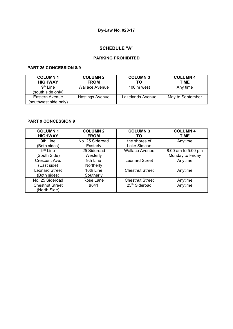# **SCHEDULE "A"**

## **PARKING PROHIBITED**

## **PART 25 CONCESSION 8/9**

| <b>COLUMN1</b><br><b>HIGHWAY</b>          | <b>COLUMN 2</b><br><b>FROM</b> | <b>COLUMN 3</b><br>ТΟ | <b>COLUMN 4</b><br><b>TIME</b> |
|-------------------------------------------|--------------------------------|-----------------------|--------------------------------|
| 9 <sup>th</sup> Line<br>(south side only) | <b>Wallace Avenue</b>          | $100 \text{ m}$ west  | Any time                       |
| Eastern Avenue<br>(southwest side only)   | <b>Hastings Avenue</b>         | Lakelands Avenue      | May to September               |

## **PART 9 CONCESSION 9**

| <b>COLUMN1</b><br><b>HIGHWAY</b>       | <b>COLUMN 2</b><br><b>FROM</b> | <b>COLUMN 3</b><br>ΤО        | <b>COLUMN 4</b><br><b>TIME</b>         |
|----------------------------------------|--------------------------------|------------------------------|----------------------------------------|
| 9th Line<br>(Both sides)               | No. 25 Sideroad<br>Easterly    | the shores of<br>Lake Simcoe | Anytime                                |
| 9 <sup>th</sup> Line<br>(South Side)   | 25 Sideroad<br>Westerly        | <b>Wallace Avenue</b>        | 8:00 am to 5:00 pm<br>Monday to Friday |
| Crescent Ave.<br>(East side)           | 9th Line<br>Northerly          | <b>Leonard Street</b>        | Anytime                                |
| <b>Leonard Street</b><br>(Both sides)  | 10th Line<br>Southerly         | <b>Chestnut Street</b>       | Anytime                                |
| No. 25 Sideroad                        | Rose Lane                      | <b>Chestnut Street</b>       | Anytime                                |
| <b>Chestnut Street</b><br>(North Side) | #641                           | 25 <sup>th</sup> Sideroad    | Anytime                                |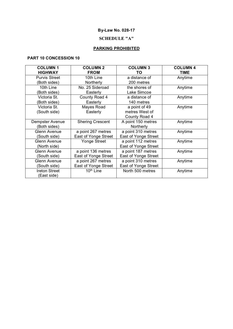# **SCHEDULE "A"**

# **PARKING PROHIBITED**

## **PART 10 CONCESSION 10**

| <b>COLUMN1</b>       | <b>COLUMN 2</b>         | <b>COLUMN 3</b>      | <b>COLUMN 4</b> |
|----------------------|-------------------------|----------------------|-----------------|
| <b>HIGHWAY</b>       | <b>FROM</b>             | TO                   | <b>TIME</b>     |
| <b>Purvis Street</b> | 10th Line               | a distance of        | Anytime         |
| (Both sides)         | Northerly               | 200 metres           |                 |
| 10th Line            | No. 25 Sideroad         | the shores of        | Anytime         |
| (Both sides)         | Easterly                | Lake Simcoe          |                 |
| Victoria St.         | County Road 4           | a distance of        | Anytime         |
| (Both sides)         | Easterly                | 140 metres           |                 |
| Victoria St.         | Mayes Road              | a point of 49        | Anytime         |
| (South side)         | Easterly                | metres West of       |                 |
|                      |                         | County Road 4        |                 |
| Dempster Avenue      | <b>Shering Crescent</b> | A point 150 metres   | Anytime         |
| (Both sides)         |                         | Northerly            |                 |
| <b>Glenn Avenue</b>  | a point 267 metres      | a point 310 metres   | Anytime         |
| (South side)         | East of Yonge Street    | East of Yonge Street |                 |
| <b>Glenn Avenue</b>  | Yonge Street            | a point 112 metres   | Anytime         |
| (North side)         |                         | East of Yonge Street |                 |
| <b>Glenn Avenue</b>  | a point 136 metres      | a point 187 metres   | Anytime         |
| South side)          | East of Yonge Street    | East of Yonge Street |                 |
| <b>Glenn Avenue</b>  | a point 267 metres      | a point 310 metres   | Anytime         |
| South side)          | East of Yonge Street    | East of Yonge Street |                 |
| <b>Ireton Street</b> | 10 <sup>th</sup> Line   | North 500 metres     | Anytime         |
| East side)           |                         |                      |                 |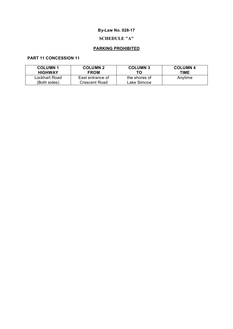# **SCHEDULE "A"**

# **PARKING PROHIBITED**

## **PART 11 CONCESSION 11**

| <b>COLUMN1</b><br><b>HIGHWAY</b> | <b>COLUMN 2</b><br><b>FROM</b> | <b>COLUMN 3</b><br>ТΟ | <b>COLUMN 4</b><br>TIME |
|----------------------------------|--------------------------------|-----------------------|-------------------------|
| Lockhart Road                    | East entrance of               | the shores of         | Anytime                 |
| (Both sides)                     | Crescent Road                  | Lake Simcoe           |                         |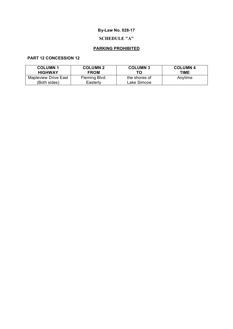# **SCHEDULE "A"**

# **PARKING PROHIBITED**

## **PART 12 CONCESSION 12**

| <b>COLUMN1</b>       | <b>COLUMN 2</b> | <b>COLUMN 3</b> | <b>COLUMN 4</b> |
|----------------------|-----------------|-----------------|-----------------|
| <b>HIGHWAY</b>       | <b>FROM</b>     | ТΟ              | TIME            |
| Mapleview Drive East | Fleming Blvd.   | the shores of   | Anytime         |
| (Both sides)         | Easterly        | Lake Simcoe     |                 |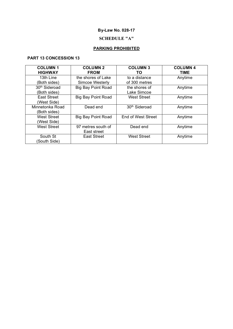# **SCHEDULE "A"**

# **PARKING PROHIBITED**

## **PART 13 CONCESSION 13**

| <b>COLUMN1</b>            | <b>COLUMN 2</b>           | <b>COLUMN 3</b>           | <b>COLUMN 4</b> |
|---------------------------|---------------------------|---------------------------|-----------------|
| <b>HIGHWAY</b>            | <b>FROM</b>               | TO.                       | <b>TIME</b>     |
| 13th Line                 | the shores of Lake        | to a distance             | Anytime         |
| (Both sides)              | Simcoe Westerly           | of 300 metres             |                 |
| 30 <sup>th</sup> Sideroad | <b>Big Bay Point Road</b> | the shores of             | Anytime         |
| (Both sides)              |                           | Lake Simcoe               |                 |
| <b>East Street</b>        | <b>Big Bay Point Road</b> | <b>West Street</b>        | Anytime         |
| (West Side)               |                           |                           |                 |
| Minnetonka Road           | Dead end                  | 30 <sup>th</sup> Sideroad | Anytime         |
| (Both sides)              |                           |                           |                 |
| <b>West Street</b>        | <b>Big Bay Point Road</b> | End of West Street        | Anytime         |
| (West Side)               |                           |                           |                 |
| <b>West Street</b>        | 97 metres south of        | Dead end                  | Anytime         |
|                           | East street               |                           |                 |
| South St                  | <b>East Street</b>        | <b>West Street</b>        | Anytime         |
| South Side)               |                           |                           |                 |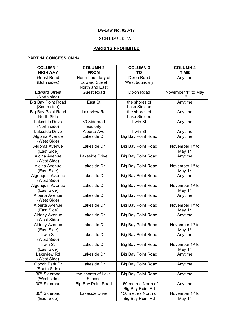## **SCHEDULE "A"**

# **PARKING PROHIBITED**

## **PART 14 CONCESSION 14**

| <b>HIGHWAY</b><br><b>FROM</b><br><b>TIME</b><br>ΤO<br>Dixon Road<br><b>Guest Road</b><br>North boundary of<br>Anytime<br><b>Edward Street</b><br>(Both sides)<br>West boundary<br>North and East<br><b>Edward Street</b><br><b>Dixon Road</b><br>November 1 <sup>st</sup> to May<br><b>Guest Road</b><br>1 <sup>st</sup><br>(North side)<br>East St<br>the shores of<br>Anytime<br><b>Big Bay Point Road</b><br>(South side)<br>Lake Simcoe<br>Lakeview Rd<br>Anytime<br><b>Big Bay Point Road</b><br>the shores of<br>Lake Simcoe<br>North Side<br>Lakeside Drive<br>30 Sideroad<br>Irwin St<br>Anytime<br>(North side)<br>Easterly<br>Lakeside Drive<br>Irwin St<br>Alberta Ave<br>Anytime<br><b>Big Bay Point Road</b><br>Algoma Avenue<br>Lakeside Dr<br>Anytime<br>(West Side)<br>November 1 <sup>st</sup> to<br>Algoma Avenue<br>Lakeside Dr<br><b>Big Bay Point Road</b><br>(East Side)<br>May 1 <sup>st</sup><br>Lakeside Drive<br>Anytime<br>Alcina Avenue<br><b>Big Bay Point Road</b><br>(West Side)<br>November 1 <sup>st</sup> to<br>Alcina Avenue<br>Lakeside Dr<br><b>Big Bay Point Road</b><br>May 1 <sup>st</sup><br>(East Side)<br>Lakeside Dr<br><b>Big Bay Point Road</b><br>Algonquin Avenue<br>Anytime<br>(West Side)<br>November 1 <sup>st</sup> to<br>Algonquin Avenue<br>Lakeside Dr<br><b>Big Bay Point Road</b><br>May 1 <sup>st</sup><br>(East Side)<br>Lakeside Dr<br><b>Big Bay Point Road</b><br>Alberta Avenue<br>Anytime<br>(West Side)<br>November 1 <sup>st</sup> to<br>Lakeside Dr<br><b>Big Bay Point Road</b><br>Alberta Avenue<br>May 1 <sup>st</sup><br>(East Side)<br>Lakeside Dr<br><b>Alderly Avenue</b><br><b>Big Bay Point Road</b><br>Anytime<br>(West Side)<br>November 1 <sup>st</sup> to<br>Lakeside Dr<br><b>Alderly Avenue</b><br><b>Big Bay Point Road</b><br>(East Side)<br>May 1 <sup>st</sup><br>Lakeside Dr<br><b>Big Bay Point Road</b><br>Irwin St<br>Anytime<br>(West Side)<br>Lakeside Dr<br><b>Big Bay Point Road</b><br>November 1 <sup>st</sup> to<br>Irwin St<br>May 1 <sup>st</sup><br>(East Side)<br><b>Big Bay Point Road</b><br>Lakeside Dr<br>Lakeview Rd<br>Anytime<br>(West Side)<br>Lakeside Dr<br>Gooch Park Dr<br><b>Big Bay Point Road</b><br>Anytime<br>(South Side)<br>30 <sup>th</sup> Sideroad<br>the shores of Lake<br><b>Big Bay Point Road</b><br>Anytime<br>Simcoe<br>(West side)<br>30 <sup>th</sup> Sideroad<br><b>Big Bay Point Road</b><br>150 metres North of<br>Anytime<br><b>Big Bay Point Rd</b><br>30 <sup>th</sup> Sideroad<br>November 1 <sup>st</sup> to<br>Lakeside Drive<br>150 metres North of<br>May 1 <sup>st</sup><br>(East Side)<br>Big Bay Point Rd | <b>COLUMN1</b> | <b>COLUMN 2</b> | <b>COLUMN 3</b> | <b>COLUMN 4</b> |
|------------------------------------------------------------------------------------------------------------------------------------------------------------------------------------------------------------------------------------------------------------------------------------------------------------------------------------------------------------------------------------------------------------------------------------------------------------------------------------------------------------------------------------------------------------------------------------------------------------------------------------------------------------------------------------------------------------------------------------------------------------------------------------------------------------------------------------------------------------------------------------------------------------------------------------------------------------------------------------------------------------------------------------------------------------------------------------------------------------------------------------------------------------------------------------------------------------------------------------------------------------------------------------------------------------------------------------------------------------------------------------------------------------------------------------------------------------------------------------------------------------------------------------------------------------------------------------------------------------------------------------------------------------------------------------------------------------------------------------------------------------------------------------------------------------------------------------------------------------------------------------------------------------------------------------------------------------------------------------------------------------------------------------------------------------------------------------------------------------------------------------------------------------------------------------------------------------------------------------------------------------------------------------------------------------------------------------------------------------------------------------------------------------------------------------------------------------------------------------------------------------------------------------------------------------------------------------------------------------------------------------------------------------|----------------|-----------------|-----------------|-----------------|
|                                                                                                                                                                                                                                                                                                                                                                                                                                                                                                                                                                                                                                                                                                                                                                                                                                                                                                                                                                                                                                                                                                                                                                                                                                                                                                                                                                                                                                                                                                                                                                                                                                                                                                                                                                                                                                                                                                                                                                                                                                                                                                                                                                                                                                                                                                                                                                                                                                                                                                                                                                                                                                                            |                |                 |                 |                 |
|                                                                                                                                                                                                                                                                                                                                                                                                                                                                                                                                                                                                                                                                                                                                                                                                                                                                                                                                                                                                                                                                                                                                                                                                                                                                                                                                                                                                                                                                                                                                                                                                                                                                                                                                                                                                                                                                                                                                                                                                                                                                                                                                                                                                                                                                                                                                                                                                                                                                                                                                                                                                                                                            |                |                 |                 |                 |
|                                                                                                                                                                                                                                                                                                                                                                                                                                                                                                                                                                                                                                                                                                                                                                                                                                                                                                                                                                                                                                                                                                                                                                                                                                                                                                                                                                                                                                                                                                                                                                                                                                                                                                                                                                                                                                                                                                                                                                                                                                                                                                                                                                                                                                                                                                                                                                                                                                                                                                                                                                                                                                                            |                |                 |                 |                 |
|                                                                                                                                                                                                                                                                                                                                                                                                                                                                                                                                                                                                                                                                                                                                                                                                                                                                                                                                                                                                                                                                                                                                                                                                                                                                                                                                                                                                                                                                                                                                                                                                                                                                                                                                                                                                                                                                                                                                                                                                                                                                                                                                                                                                                                                                                                                                                                                                                                                                                                                                                                                                                                                            |                |                 |                 |                 |
|                                                                                                                                                                                                                                                                                                                                                                                                                                                                                                                                                                                                                                                                                                                                                                                                                                                                                                                                                                                                                                                                                                                                                                                                                                                                                                                                                                                                                                                                                                                                                                                                                                                                                                                                                                                                                                                                                                                                                                                                                                                                                                                                                                                                                                                                                                                                                                                                                                                                                                                                                                                                                                                            |                |                 |                 |                 |
|                                                                                                                                                                                                                                                                                                                                                                                                                                                                                                                                                                                                                                                                                                                                                                                                                                                                                                                                                                                                                                                                                                                                                                                                                                                                                                                                                                                                                                                                                                                                                                                                                                                                                                                                                                                                                                                                                                                                                                                                                                                                                                                                                                                                                                                                                                                                                                                                                                                                                                                                                                                                                                                            |                |                 |                 |                 |
|                                                                                                                                                                                                                                                                                                                                                                                                                                                                                                                                                                                                                                                                                                                                                                                                                                                                                                                                                                                                                                                                                                                                                                                                                                                                                                                                                                                                                                                                                                                                                                                                                                                                                                                                                                                                                                                                                                                                                                                                                                                                                                                                                                                                                                                                                                                                                                                                                                                                                                                                                                                                                                                            |                |                 |                 |                 |
|                                                                                                                                                                                                                                                                                                                                                                                                                                                                                                                                                                                                                                                                                                                                                                                                                                                                                                                                                                                                                                                                                                                                                                                                                                                                                                                                                                                                                                                                                                                                                                                                                                                                                                                                                                                                                                                                                                                                                                                                                                                                                                                                                                                                                                                                                                                                                                                                                                                                                                                                                                                                                                                            |                |                 |                 |                 |
|                                                                                                                                                                                                                                                                                                                                                                                                                                                                                                                                                                                                                                                                                                                                                                                                                                                                                                                                                                                                                                                                                                                                                                                                                                                                                                                                                                                                                                                                                                                                                                                                                                                                                                                                                                                                                                                                                                                                                                                                                                                                                                                                                                                                                                                                                                                                                                                                                                                                                                                                                                                                                                                            |                |                 |                 |                 |
|                                                                                                                                                                                                                                                                                                                                                                                                                                                                                                                                                                                                                                                                                                                                                                                                                                                                                                                                                                                                                                                                                                                                                                                                                                                                                                                                                                                                                                                                                                                                                                                                                                                                                                                                                                                                                                                                                                                                                                                                                                                                                                                                                                                                                                                                                                                                                                                                                                                                                                                                                                                                                                                            |                |                 |                 |                 |
|                                                                                                                                                                                                                                                                                                                                                                                                                                                                                                                                                                                                                                                                                                                                                                                                                                                                                                                                                                                                                                                                                                                                                                                                                                                                                                                                                                                                                                                                                                                                                                                                                                                                                                                                                                                                                                                                                                                                                                                                                                                                                                                                                                                                                                                                                                                                                                                                                                                                                                                                                                                                                                                            |                |                 |                 |                 |
|                                                                                                                                                                                                                                                                                                                                                                                                                                                                                                                                                                                                                                                                                                                                                                                                                                                                                                                                                                                                                                                                                                                                                                                                                                                                                                                                                                                                                                                                                                                                                                                                                                                                                                                                                                                                                                                                                                                                                                                                                                                                                                                                                                                                                                                                                                                                                                                                                                                                                                                                                                                                                                                            |                |                 |                 |                 |
|                                                                                                                                                                                                                                                                                                                                                                                                                                                                                                                                                                                                                                                                                                                                                                                                                                                                                                                                                                                                                                                                                                                                                                                                                                                                                                                                                                                                                                                                                                                                                                                                                                                                                                                                                                                                                                                                                                                                                                                                                                                                                                                                                                                                                                                                                                                                                                                                                                                                                                                                                                                                                                                            |                |                 |                 |                 |
|                                                                                                                                                                                                                                                                                                                                                                                                                                                                                                                                                                                                                                                                                                                                                                                                                                                                                                                                                                                                                                                                                                                                                                                                                                                                                                                                                                                                                                                                                                                                                                                                                                                                                                                                                                                                                                                                                                                                                                                                                                                                                                                                                                                                                                                                                                                                                                                                                                                                                                                                                                                                                                                            |                |                 |                 |                 |
|                                                                                                                                                                                                                                                                                                                                                                                                                                                                                                                                                                                                                                                                                                                                                                                                                                                                                                                                                                                                                                                                                                                                                                                                                                                                                                                                                                                                                                                                                                                                                                                                                                                                                                                                                                                                                                                                                                                                                                                                                                                                                                                                                                                                                                                                                                                                                                                                                                                                                                                                                                                                                                                            |                |                 |                 |                 |
|                                                                                                                                                                                                                                                                                                                                                                                                                                                                                                                                                                                                                                                                                                                                                                                                                                                                                                                                                                                                                                                                                                                                                                                                                                                                                                                                                                                                                                                                                                                                                                                                                                                                                                                                                                                                                                                                                                                                                                                                                                                                                                                                                                                                                                                                                                                                                                                                                                                                                                                                                                                                                                                            |                |                 |                 |                 |
|                                                                                                                                                                                                                                                                                                                                                                                                                                                                                                                                                                                                                                                                                                                                                                                                                                                                                                                                                                                                                                                                                                                                                                                                                                                                                                                                                                                                                                                                                                                                                                                                                                                                                                                                                                                                                                                                                                                                                                                                                                                                                                                                                                                                                                                                                                                                                                                                                                                                                                                                                                                                                                                            |                |                 |                 |                 |
|                                                                                                                                                                                                                                                                                                                                                                                                                                                                                                                                                                                                                                                                                                                                                                                                                                                                                                                                                                                                                                                                                                                                                                                                                                                                                                                                                                                                                                                                                                                                                                                                                                                                                                                                                                                                                                                                                                                                                                                                                                                                                                                                                                                                                                                                                                                                                                                                                                                                                                                                                                                                                                                            |                |                 |                 |                 |
|                                                                                                                                                                                                                                                                                                                                                                                                                                                                                                                                                                                                                                                                                                                                                                                                                                                                                                                                                                                                                                                                                                                                                                                                                                                                                                                                                                                                                                                                                                                                                                                                                                                                                                                                                                                                                                                                                                                                                                                                                                                                                                                                                                                                                                                                                                                                                                                                                                                                                                                                                                                                                                                            |                |                 |                 |                 |
|                                                                                                                                                                                                                                                                                                                                                                                                                                                                                                                                                                                                                                                                                                                                                                                                                                                                                                                                                                                                                                                                                                                                                                                                                                                                                                                                                                                                                                                                                                                                                                                                                                                                                                                                                                                                                                                                                                                                                                                                                                                                                                                                                                                                                                                                                                                                                                                                                                                                                                                                                                                                                                                            |                |                 |                 |                 |
|                                                                                                                                                                                                                                                                                                                                                                                                                                                                                                                                                                                                                                                                                                                                                                                                                                                                                                                                                                                                                                                                                                                                                                                                                                                                                                                                                                                                                                                                                                                                                                                                                                                                                                                                                                                                                                                                                                                                                                                                                                                                                                                                                                                                                                                                                                                                                                                                                                                                                                                                                                                                                                                            |                |                 |                 |                 |
|                                                                                                                                                                                                                                                                                                                                                                                                                                                                                                                                                                                                                                                                                                                                                                                                                                                                                                                                                                                                                                                                                                                                                                                                                                                                                                                                                                                                                                                                                                                                                                                                                                                                                                                                                                                                                                                                                                                                                                                                                                                                                                                                                                                                                                                                                                                                                                                                                                                                                                                                                                                                                                                            |                |                 |                 |                 |
|                                                                                                                                                                                                                                                                                                                                                                                                                                                                                                                                                                                                                                                                                                                                                                                                                                                                                                                                                                                                                                                                                                                                                                                                                                                                                                                                                                                                                                                                                                                                                                                                                                                                                                                                                                                                                                                                                                                                                                                                                                                                                                                                                                                                                                                                                                                                                                                                                                                                                                                                                                                                                                                            |                |                 |                 |                 |
|                                                                                                                                                                                                                                                                                                                                                                                                                                                                                                                                                                                                                                                                                                                                                                                                                                                                                                                                                                                                                                                                                                                                                                                                                                                                                                                                                                                                                                                                                                                                                                                                                                                                                                                                                                                                                                                                                                                                                                                                                                                                                                                                                                                                                                                                                                                                                                                                                                                                                                                                                                                                                                                            |                |                 |                 |                 |
|                                                                                                                                                                                                                                                                                                                                                                                                                                                                                                                                                                                                                                                                                                                                                                                                                                                                                                                                                                                                                                                                                                                                                                                                                                                                                                                                                                                                                                                                                                                                                                                                                                                                                                                                                                                                                                                                                                                                                                                                                                                                                                                                                                                                                                                                                                                                                                                                                                                                                                                                                                                                                                                            |                |                 |                 |                 |
|                                                                                                                                                                                                                                                                                                                                                                                                                                                                                                                                                                                                                                                                                                                                                                                                                                                                                                                                                                                                                                                                                                                                                                                                                                                                                                                                                                                                                                                                                                                                                                                                                                                                                                                                                                                                                                                                                                                                                                                                                                                                                                                                                                                                                                                                                                                                                                                                                                                                                                                                                                                                                                                            |                |                 |                 |                 |
|                                                                                                                                                                                                                                                                                                                                                                                                                                                                                                                                                                                                                                                                                                                                                                                                                                                                                                                                                                                                                                                                                                                                                                                                                                                                                                                                                                                                                                                                                                                                                                                                                                                                                                                                                                                                                                                                                                                                                                                                                                                                                                                                                                                                                                                                                                                                                                                                                                                                                                                                                                                                                                                            |                |                 |                 |                 |
|                                                                                                                                                                                                                                                                                                                                                                                                                                                                                                                                                                                                                                                                                                                                                                                                                                                                                                                                                                                                                                                                                                                                                                                                                                                                                                                                                                                                                                                                                                                                                                                                                                                                                                                                                                                                                                                                                                                                                                                                                                                                                                                                                                                                                                                                                                                                                                                                                                                                                                                                                                                                                                                            |                |                 |                 |                 |
|                                                                                                                                                                                                                                                                                                                                                                                                                                                                                                                                                                                                                                                                                                                                                                                                                                                                                                                                                                                                                                                                                                                                                                                                                                                                                                                                                                                                                                                                                                                                                                                                                                                                                                                                                                                                                                                                                                                                                                                                                                                                                                                                                                                                                                                                                                                                                                                                                                                                                                                                                                                                                                                            |                |                 |                 |                 |
|                                                                                                                                                                                                                                                                                                                                                                                                                                                                                                                                                                                                                                                                                                                                                                                                                                                                                                                                                                                                                                                                                                                                                                                                                                                                                                                                                                                                                                                                                                                                                                                                                                                                                                                                                                                                                                                                                                                                                                                                                                                                                                                                                                                                                                                                                                                                                                                                                                                                                                                                                                                                                                                            |                |                 |                 |                 |
|                                                                                                                                                                                                                                                                                                                                                                                                                                                                                                                                                                                                                                                                                                                                                                                                                                                                                                                                                                                                                                                                                                                                                                                                                                                                                                                                                                                                                                                                                                                                                                                                                                                                                                                                                                                                                                                                                                                                                                                                                                                                                                                                                                                                                                                                                                                                                                                                                                                                                                                                                                                                                                                            |                |                 |                 |                 |
|                                                                                                                                                                                                                                                                                                                                                                                                                                                                                                                                                                                                                                                                                                                                                                                                                                                                                                                                                                                                                                                                                                                                                                                                                                                                                                                                                                                                                                                                                                                                                                                                                                                                                                                                                                                                                                                                                                                                                                                                                                                                                                                                                                                                                                                                                                                                                                                                                                                                                                                                                                                                                                                            |                |                 |                 |                 |
|                                                                                                                                                                                                                                                                                                                                                                                                                                                                                                                                                                                                                                                                                                                                                                                                                                                                                                                                                                                                                                                                                                                                                                                                                                                                                                                                                                                                                                                                                                                                                                                                                                                                                                                                                                                                                                                                                                                                                                                                                                                                                                                                                                                                                                                                                                                                                                                                                                                                                                                                                                                                                                                            |                |                 |                 |                 |
|                                                                                                                                                                                                                                                                                                                                                                                                                                                                                                                                                                                                                                                                                                                                                                                                                                                                                                                                                                                                                                                                                                                                                                                                                                                                                                                                                                                                                                                                                                                                                                                                                                                                                                                                                                                                                                                                                                                                                                                                                                                                                                                                                                                                                                                                                                                                                                                                                                                                                                                                                                                                                                                            |                |                 |                 |                 |
|                                                                                                                                                                                                                                                                                                                                                                                                                                                                                                                                                                                                                                                                                                                                                                                                                                                                                                                                                                                                                                                                                                                                                                                                                                                                                                                                                                                                                                                                                                                                                                                                                                                                                                                                                                                                                                                                                                                                                                                                                                                                                                                                                                                                                                                                                                                                                                                                                                                                                                                                                                                                                                                            |                |                 |                 |                 |
|                                                                                                                                                                                                                                                                                                                                                                                                                                                                                                                                                                                                                                                                                                                                                                                                                                                                                                                                                                                                                                                                                                                                                                                                                                                                                                                                                                                                                                                                                                                                                                                                                                                                                                                                                                                                                                                                                                                                                                                                                                                                                                                                                                                                                                                                                                                                                                                                                                                                                                                                                                                                                                                            |                |                 |                 |                 |
|                                                                                                                                                                                                                                                                                                                                                                                                                                                                                                                                                                                                                                                                                                                                                                                                                                                                                                                                                                                                                                                                                                                                                                                                                                                                                                                                                                                                                                                                                                                                                                                                                                                                                                                                                                                                                                                                                                                                                                                                                                                                                                                                                                                                                                                                                                                                                                                                                                                                                                                                                                                                                                                            |                |                 |                 |                 |
|                                                                                                                                                                                                                                                                                                                                                                                                                                                                                                                                                                                                                                                                                                                                                                                                                                                                                                                                                                                                                                                                                                                                                                                                                                                                                                                                                                                                                                                                                                                                                                                                                                                                                                                                                                                                                                                                                                                                                                                                                                                                                                                                                                                                                                                                                                                                                                                                                                                                                                                                                                                                                                                            |                |                 |                 |                 |
|                                                                                                                                                                                                                                                                                                                                                                                                                                                                                                                                                                                                                                                                                                                                                                                                                                                                                                                                                                                                                                                                                                                                                                                                                                                                                                                                                                                                                                                                                                                                                                                                                                                                                                                                                                                                                                                                                                                                                                                                                                                                                                                                                                                                                                                                                                                                                                                                                                                                                                                                                                                                                                                            |                |                 |                 |                 |
|                                                                                                                                                                                                                                                                                                                                                                                                                                                                                                                                                                                                                                                                                                                                                                                                                                                                                                                                                                                                                                                                                                                                                                                                                                                                                                                                                                                                                                                                                                                                                                                                                                                                                                                                                                                                                                                                                                                                                                                                                                                                                                                                                                                                                                                                                                                                                                                                                                                                                                                                                                                                                                                            |                |                 |                 |                 |
|                                                                                                                                                                                                                                                                                                                                                                                                                                                                                                                                                                                                                                                                                                                                                                                                                                                                                                                                                                                                                                                                                                                                                                                                                                                                                                                                                                                                                                                                                                                                                                                                                                                                                                                                                                                                                                                                                                                                                                                                                                                                                                                                                                                                                                                                                                                                                                                                                                                                                                                                                                                                                                                            |                |                 |                 |                 |
|                                                                                                                                                                                                                                                                                                                                                                                                                                                                                                                                                                                                                                                                                                                                                                                                                                                                                                                                                                                                                                                                                                                                                                                                                                                                                                                                                                                                                                                                                                                                                                                                                                                                                                                                                                                                                                                                                                                                                                                                                                                                                                                                                                                                                                                                                                                                                                                                                                                                                                                                                                                                                                                            |                |                 |                 |                 |
|                                                                                                                                                                                                                                                                                                                                                                                                                                                                                                                                                                                                                                                                                                                                                                                                                                                                                                                                                                                                                                                                                                                                                                                                                                                                                                                                                                                                                                                                                                                                                                                                                                                                                                                                                                                                                                                                                                                                                                                                                                                                                                                                                                                                                                                                                                                                                                                                                                                                                                                                                                                                                                                            |                |                 |                 |                 |
|                                                                                                                                                                                                                                                                                                                                                                                                                                                                                                                                                                                                                                                                                                                                                                                                                                                                                                                                                                                                                                                                                                                                                                                                                                                                                                                                                                                                                                                                                                                                                                                                                                                                                                                                                                                                                                                                                                                                                                                                                                                                                                                                                                                                                                                                                                                                                                                                                                                                                                                                                                                                                                                            |                |                 |                 |                 |
|                                                                                                                                                                                                                                                                                                                                                                                                                                                                                                                                                                                                                                                                                                                                                                                                                                                                                                                                                                                                                                                                                                                                                                                                                                                                                                                                                                                                                                                                                                                                                                                                                                                                                                                                                                                                                                                                                                                                                                                                                                                                                                                                                                                                                                                                                                                                                                                                                                                                                                                                                                                                                                                            |                |                 |                 |                 |
|                                                                                                                                                                                                                                                                                                                                                                                                                                                                                                                                                                                                                                                                                                                                                                                                                                                                                                                                                                                                                                                                                                                                                                                                                                                                                                                                                                                                                                                                                                                                                                                                                                                                                                                                                                                                                                                                                                                                                                                                                                                                                                                                                                                                                                                                                                                                                                                                                                                                                                                                                                                                                                                            |                |                 |                 |                 |
|                                                                                                                                                                                                                                                                                                                                                                                                                                                                                                                                                                                                                                                                                                                                                                                                                                                                                                                                                                                                                                                                                                                                                                                                                                                                                                                                                                                                                                                                                                                                                                                                                                                                                                                                                                                                                                                                                                                                                                                                                                                                                                                                                                                                                                                                                                                                                                                                                                                                                                                                                                                                                                                            |                |                 |                 |                 |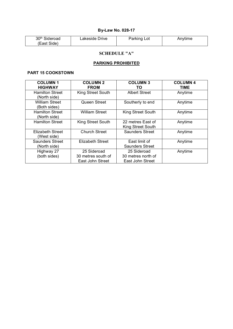| 30 <sup>th</sup> Sideroad | Lakeside Drive | Parking Lot | Anvtime |
|---------------------------|----------------|-------------|---------|
| (East Side)               |                |             |         |

# **SCHEDULE "A"**

## **PARKING PROHIBITED**

## **PART 15 COOKSTOWN**

| <b>COLUMN1</b><br><b>HIGHWAY</b>       | <b>COLUMN 2</b><br><b>FROM</b>                        | <b>COLUMN 3</b><br>ΤО                                 | <b>COLUMN 4</b><br><b>TIME</b> |
|----------------------------------------|-------------------------------------------------------|-------------------------------------------------------|--------------------------------|
| <b>Hamilton Street</b><br>(North side) | King Street South                                     | <b>Albert Street</b>                                  | Anytime                        |
| <b>William Street</b><br>(Both sides)  | Queen Street                                          | Southerly to end                                      | Anytime                        |
| <b>Hamilton Street</b><br>(North side) | <b>William Street</b>                                 | King Street South                                     | Anytime                        |
| <b>Hamilton Street</b>                 | <b>King Street South</b>                              | 22 metres East of<br><b>King Street South</b>         | Anytime                        |
| Elizabeth Street<br>(West side)        | <b>Church Street</b>                                  | <b>Saunders Street</b>                                | Anytime                        |
| <b>Saunders Street</b><br>(North side) | <b>Elizabeth Street</b>                               | East limit of<br><b>Saunders Street</b>               | Anytime                        |
| Highway 27<br>(both sides)             | 25 Sideroad<br>30 metres south of<br>East John Street | 25 Sideroad<br>30 metres north of<br>East John Street | Anytime                        |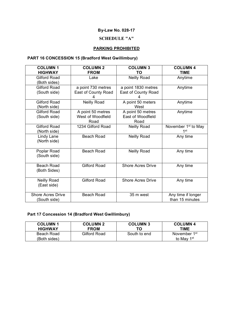# **SCHEDULE "A"**

# **PARKING PROHIBITED**

# **PART 16 CONCESSION 15 (Bradford West Gwillimbury)**

| <b>COLUMN1</b><br><b>HIGHWAY</b>         | <b>COLUMN 2</b><br><b>FROM</b>                 | <b>COLUMN 3</b><br>TO                          | <b>COLUMN 4</b><br><b>TIME</b>                     |
|------------------------------------------|------------------------------------------------|------------------------------------------------|----------------------------------------------------|
| <b>Gilford Road</b><br>(Both sides)      | Lake                                           | Neilly Road                                    | Anytime                                            |
| <b>Gilford Road</b><br>(South side)      | a point 730 metres<br>East of County Road      | a point 1830 metres<br>East of County Road     | Anytime                                            |
| <b>Gilford Road</b><br>(North side)      | Neilly Road                                    | A point 50 meters<br>West                      | Anytime                                            |
| <b>Gilford Road</b><br>(South side)      | A point 50 metres<br>West of Woodfield<br>Road | A point 50 metres<br>East of Woodfield<br>Road | Anytime                                            |
| <b>Gilford Road</b><br>(North side)      | 1234 Gilford Road                              | <b>Neilly Road</b>                             | November 1 <sup>st</sup> to May<br>1 <sup>st</sup> |
| Lindy Lane<br>(North side)               | <b>Beach Road</b>                              | <b>Neilly Road</b>                             | Any time                                           |
| Poplar Road<br>(South side)              | <b>Beach Road</b>                              | <b>Neilly Road</b>                             | Any time                                           |
| <b>Beach Road</b><br>(Both Sides)        | <b>Gilford Road</b>                            | <b>Shore Acres Drive</b>                       | Any time                                           |
| <b>Neilly Road</b><br>(East side)        | <b>Gilford Road</b>                            | <b>Shore Acres Drive</b>                       | Any time                                           |
| <b>Shore Acres Drive</b><br>(South side) | <b>Beach Road</b>                              | 35 m west                                      | Any time if longer<br>than 15 minutes              |

# **Part 17 Concession 14 (Bradford West Gwillimbury)**

| <b>COLUMN1</b><br><b>HIGHWAY</b> | <b>COLUMN 2</b><br><b>FROM</b> | <b>COLUMN 3</b><br>ТΟ | <b>COLUMN 4</b><br>TIME  |
|----------------------------------|--------------------------------|-----------------------|--------------------------|
| Beach Road                       | Gilford Road                   | South to end          | November 1 <sup>st</sup> |
| (Both sides)                     |                                |                       | to May 1 <sup>st</sup>   |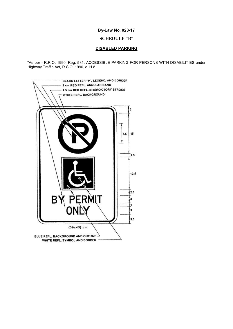## **SCHEDULE "B"**

#### **DISABLED PARKING**

\*As per - R.R.O. 1990, Reg. 581: ACCESSIBLE PARKING FOR PERSONS WITH DISABILITIES under Highway Traffic Act, R.S.O. 1990, c. H.8

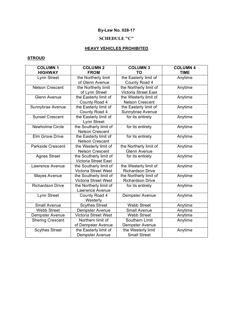## **SCHEDULE "C"**

# **HEAVY VEHICLES PROHIBITED**

## **STROUD**

| <b>COLUMN1</b>           | <b>COLUMN 2</b>             | <b>COLUMN 3</b>             | <b>COLUMN 4</b> |
|--------------------------|-----------------------------|-----------------------------|-----------------|
| <b>HIGHWAY</b>           | <b>FROM</b>                 | <b>TO</b>                   | <b>TIME</b>     |
| Lynn Street              | the Northerly limit         | the Easterly limit of       | Anytime         |
|                          | of Glenn Avenue             | County Road 4               |                 |
| <b>Nelson Crescent</b>   | the Northerly limit         | the Northerly limit of      | Anytime         |
|                          | of Lynn Street              | <b>Victoria Street East</b> |                 |
| <b>Glenn Avenue</b>      | the Easterly limit of       | the Westerly limit of       | Anytime         |
|                          | County Road 4               | <b>Nelson Crescent</b>      |                 |
| Sunnybrae Avenue         | the Easterly limit of       | the Easterly limit of       | Anytime         |
|                          | County Road 4               | Sunnybrae Avenue            |                 |
| <b>Sunset Crescent</b>   | the Easterly limit of       | for its entirety            | Anytime         |
|                          | Lynn Street                 |                             |                 |
| Newholme Circle          | the Southerly limit of      | for its entirety            | Anytime         |
|                          | <b>Nelson Crescent</b>      |                             |                 |
| Elm Grove Drive          | the Easterly limit of       | for its entirety            | Anytime         |
|                          | <b>Nelson Crescent</b>      |                             |                 |
| <b>Parkside Crescent</b> | the Westerly limit of       | the Northerly limit of      | Anytime         |
|                          | <b>Nelson Crescent</b>      | Glenn Avenue                |                 |
| <b>Agnes Street</b>      | the Southerly limit of      | for its entirety            | Anytime         |
|                          | <b>Victoria Street East</b> |                             |                 |
| Lawrence Avenue          | the Southerly limit of      | the Westerly limit of       | Anytime         |
|                          | Victoria Street West        | <b>Richardson Drive</b>     |                 |
| Mayes Avenue             | the Southerly limit of      | the Northerly limit of      | Anytime         |
|                          | Victoria Street West        | <b>Richardson Drive</b>     |                 |
| <b>Richardson Drive</b>  | the Northerly limit of      | for its entirety            | Anytime         |
|                          | Lawrence Avenue             |                             |                 |
| Lynn Street              | County Road 4               | Dempster Avenue             | Anytime         |
|                          | Westerly                    |                             |                 |
| <b>Small Avenue</b>      | <b>Scythes Street</b>       | <b>Webb Street</b>          | Anytime         |
| <b>Webb Street</b>       | Dempster Avenue             | Small Avenue                | Anytime         |
| Dempster Avenue          | Victoria Street West        | <b>Webb Street</b>          | Anytime         |
| <b>Shering Crescent</b>  | Northern limit of           | Southern Limit              | Anytime         |
|                          | of Dempster Avenue          | Dempster Avenue             |                 |
| <b>Scythes Street</b>    | the Easterly limit of       | the Westerly limit          | Anytime         |
|                          | Dempster Avenue             | <b>Small Street</b>         |                 |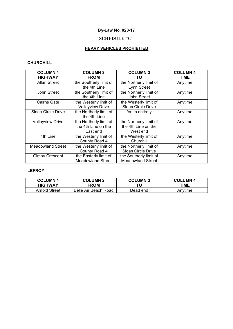# **SCHEDULE "C"**

# **HEAVY VEHICLES PROHIBITED**

# **CHURCHILL**

| <b>COLUMN1</b><br><b>HIGHWAY</b> | <b>COLUMN 2</b><br><b>FROM</b>                            | <b>COLUMN 3</b><br>TO                                     | <b>COLUMN 4</b><br>TIME |
|----------------------------------|-----------------------------------------------------------|-----------------------------------------------------------|-------------------------|
| Allan Street                     | the Southerly limit of<br>the 4th Line                    | the Northerly limit of<br>Lynn Street                     | Anytime                 |
| John Street                      | the Southerly limit of<br>the 4th Line                    | the Northerly limit of<br>John Street                     | Anytime                 |
| <b>Cairns Gate</b>               | the Westerly limit of<br><b>Valleyview Drive</b>          | the Westerly limit of<br><b>Sloan Circle Drive</b>        | Anytime                 |
| <b>Sloan Circle Drive</b>        | the Northerly limit of<br>the 4th Line                    | for its entirety                                          | Anytime                 |
| <b>Valleyview Drive</b>          | the Northerly limit of<br>the 4th Line on the<br>East end | the Northerly limit of<br>the 4th Line on the<br>West end | Anytime                 |
| 4th Line                         | the Westerly limit of<br>County Road 4                    | the Westerly limit of<br>Churchill                        | Anytime                 |
| <b>Meadowland Street</b>         | the Westerly limit of<br>County Road 4                    | the Northerly limit of<br><b>Sloan Circle Drive</b>       | Anytime                 |
| <b>Gimby Crescent</b>            | the Easterly limit of<br>Meadowland Street                | the Southerly limit of<br><b>Meadowland Street</b>        | Anytime                 |

## **LEFROY**

| <b>COLUMN1</b> | <b>COLUMN 2</b>      | <b>COLUMN 3</b> | <b>COLUMN 4</b> |
|----------------|----------------------|-----------------|-----------------|
| <b>HIGHWAY</b> | <b>FROM</b>          | το              | TIME            |
| Arnold Street  | Belle Air Beach Road | Dead end        | Anvtime         |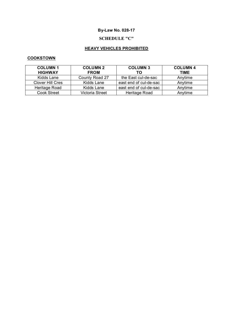# **SCHEDULE "C"**

# **HEAVY VEHICLES PROHIBITED**

## **COOKSTOWN**

| <b>COLUMN1</b>          | <b>COLUMN 2</b> | <b>COLUMN 3</b>        | <b>COLUMN 4</b> |
|-------------------------|-----------------|------------------------|-----------------|
| <b>HIGHWAY</b>          | <b>FROM</b>     | ТΟ                     | <b>TIME</b>     |
| Kidds Lane              | County Road 27  | the East cul-de-sac    | Anytime         |
| <b>Clover Hill Cres</b> | Kidds Lane      | east end of cul-de-sac | Anytime         |
| Heritage Road           | Kidds Lane      | east end of cul-de-sac | Anytime         |
| <b>Cook Street</b>      | Victoria Street | Heritage Road          | Anytime         |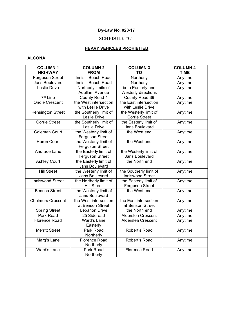# **SCHEDULE "C"**

# **HEAVY VEHICLES PROHIBITED**

## **ALCONA**

| <b>COLUMN1</b>           | <b>COLUMN 2</b>        | <b>COLUMN 3</b>        | <b>COLUMN 4</b> |
|--------------------------|------------------------|------------------------|-----------------|
| <b>HIGHWAY</b>           | <b>FROM</b>            | <b>TO</b>              | <b>TIME</b>     |
| <b>Ferguson Street</b>   | Innisfil Beach Road    | Northerly              | Anytime         |
| <b>Jans Boulevard</b>    | Innisfil Beach Road    | Northerly              | Anytime         |
| Leslie Drive             | Northerly limits of    | both Easterly and      | Anytime         |
|                          | <b>Adullam Avenue</b>  | Westerly directions    |                 |
| 7 <sup>th</sup> Line     | County Road 4          | County Road 39         | Anytime         |
| <b>Oriole Crescent</b>   | the West intersection  | the East intersection  | Anytime         |
|                          | with Leslie Drive      | with Leslie Drive      |                 |
| Kensington Street        | the Southerly limit of | the Westerly limit of  | Anytime         |
|                          | Leslie Drive           | <b>Corrie Street</b>   |                 |
| <b>Corrie Street</b>     | the Southerly limit of | the Easterly limit of  | Anytime         |
|                          | Leslie Drive           | Jans Boulevard         |                 |
| <b>Coleman Court</b>     | the Westerly limit of  | the West end           | Anytime         |
|                          | Ferguson Street        |                        |                 |
| <b>Huron Court</b>       | the Westerly limit of  | the West end           | Anytime         |
|                          | Ferguson Street        |                        |                 |
| Andrade Lane             | the Easterly limit of  | the Westerly limit of  | Anytime         |
|                          | Ferguson Street        | Jans Boulevard         |                 |
| <b>Ashley Court</b>      | the Easterly limit of  | the North end          | Anytime         |
|                          | <b>Jans Boulevard</b>  |                        |                 |
| <b>Hill Street</b>       | the Westerly limit of  | the Southerly limit of | Anytime         |
|                          | Jans Boulevard         | Inniswood Street       |                 |
| <b>Inniswood Street</b>  | the Northerly limit of | the Easterly limit of  | Anytime         |
|                          | <b>Hill Street</b>     | Ferguson Street        |                 |
| <b>Benson Street</b>     | the Westerly limit of  | the West end           | Anytime         |
|                          | Jans Boulevard         |                        |                 |
| <b>Chalmers Crescent</b> | the West intersection  | the East intersection  | Anytime         |
|                          | at Benson Street       | at Benson Street       |                 |
| <b>Spring Street</b>     | Lebanon Drive          | the North end          | Anytime         |
| Park Road                | 25 Sideroad            | Alderslea Crescent     | Anytime         |
| <b>Florence Road</b>     | Ward's Lane            | Alderslea Crescent     | Anytime         |
|                          | Easterly               |                        |                 |
| <b>Merritt Street</b>    | Park Road              | Robert's Road          | Anytime         |
|                          | Northerly              |                        |                 |
| Marg's Lane              | <b>Florence Road</b>   | Robert's Road          | Anytime         |
|                          | Northerly              |                        |                 |
| Ward's Lane              | Park Road              | <b>Florence Road</b>   | Anytime         |
|                          | Northerly              |                        |                 |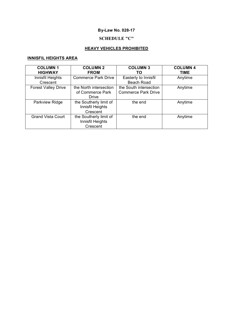# **SCHEDULE "C"**

# **HEAVY VEHICLES PROHIBITED**

# **INNISFIL HEIGHTS AREA**

| <b>COLUMN1</b><br><b>HIGHWAY</b> | <b>COLUMN 2</b><br><b>FROM</b> | <b>COLUMN 3</b><br>ТΟ      | <b>COLUMN 4</b><br><b>TIME</b> |
|----------------------------------|--------------------------------|----------------------------|--------------------------------|
| Innisfil Heights                 | <b>Commerce Park Drive</b>     | Easterly to Innisfil       | Anytime                        |
| Crescent                         |                                | <b>Beach Road</b>          |                                |
| <b>Forest Valley Drive</b>       | the North intersection         | the South intersection     | Anytime                        |
|                                  | of Commerce Park               | <b>Commerce Park Drive</b> |                                |
|                                  | Drive                          |                            |                                |
| Parkview Ridge                   | the Southerly limit of         | the end                    | Anytime                        |
|                                  | Innisfil Heights               |                            |                                |
|                                  | Crescent                       |                            |                                |
| <b>Grand Vista Court</b>         | the Southerly limit of         | the end                    | Anytime                        |
|                                  | Innisfil Heights               |                            |                                |
|                                  | Crescent                       |                            |                                |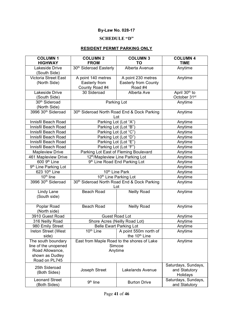# **SCHEDULE "D"**

# **RESIDENT PERMIT PARKING ONLY**

| <b>COLUMN1</b><br><b>HIGHWAY</b>      | <b>COLUMN 2</b><br><b>FROM</b>                     | <b>COLUMN 3</b><br>TO                                                    | <b>COLUMN 4</b><br><b>TIME</b>       |
|---------------------------------------|----------------------------------------------------|--------------------------------------------------------------------------|--------------------------------------|
| Lakeside Drive                        | 30th Sideroad Easterly                             | Alberta Avenue                                                           | Anytime                              |
| (South Side)                          |                                                    |                                                                          |                                      |
| <b>Victoria Street East</b>           | A point 140 metres                                 | A point 230 metres                                                       | Anytime                              |
| (North Side)                          | Easterly from                                      | <b>Easterly from County</b>                                              |                                      |
|                                       | County Road #4                                     | Road #4                                                                  |                                      |
| Lakeside Drive                        | 30 Sideroad                                        | Alberta Ave                                                              | April 30 <sup>th</sup> to            |
| (South Side)                          |                                                    |                                                                          | October 31st                         |
| 30 <sup>th</sup> Sideroad             |                                                    | Parking Lot                                                              | Anytime                              |
| (North Side)                          |                                                    |                                                                          |                                      |
| 3996 30 <sup>th</sup> Sideroad        |                                                    | 30 <sup>th</sup> Sideroad North Road End & Dock Parking<br>Lot           | Anytime                              |
| Innisfil Beach Road                   |                                                    | Parking Lot (Lot "A")                                                    | Anytime                              |
| Innisfil Beach Road                   |                                                    | Parking Lot (Lot "B")                                                    | Anytime                              |
| Innisfil Beach Road                   | Parking Lot (Lot "C")                              |                                                                          | Anytime                              |
| Innisfil Beach Road                   | Parking Lot (Lot "D")                              |                                                                          | Anytime                              |
| Innisfil Beach Road                   | Parking Lot (Lot "E")                              |                                                                          | Anytime                              |
| Innisfil Beach Road                   |                                                    | Parking Lot (Lot "F")                                                    | Anytime                              |
| <b>Mapleview Drive</b>                | Parking Lot East of Fleming Boulevard              |                                                                          | Anytime                              |
| 461 Mapleview Drive                   | 12th/Mapleview Line Parking Lot                    |                                                                          | Anytime                              |
| 600 9th Line                          | 9 <sup>th</sup> Line Road End Parking Lot          |                                                                          | Anytime                              |
| 9 <sup>th</sup> Line Parking Lot      |                                                    |                                                                          | Anytime                              |
| 623 10th Line                         | 10th Line Park                                     |                                                                          | Anytime                              |
| $10th$ line                           | 10 <sup>th</sup> Line Parking Lot                  |                                                                          | Anytime                              |
| 3996 30 <sup>th</sup> Sideroad        | 30th Sideroad North Road End & Dock Parking<br>Lot |                                                                          | Anytime                              |
| Lindy Lane<br>(South side)            | <b>Beach Road</b>                                  | <b>Neilly Road</b>                                                       | Anytime                              |
| Poplar Road                           | <b>Beach Road</b>                                  | <b>Neilly Road</b>                                                       | Anytime                              |
| (North side)                          |                                                    |                                                                          |                                      |
| 3910 Guest Road                       |                                                    | <b>Guest Road Lot</b>                                                    | Anytime                              |
| 316 Neilly Road                       | Shore Acres (Neilly Road Lot)                      |                                                                          | Anytime                              |
| 980 Emily Street                      |                                                    | <b>Belle Ewart Parking Lot</b>                                           | Anytime                              |
| Ireton Street (West<br>side)          |                                                    | 10 <sup>th</sup> Line A point 550m north of<br>the 10 <sup>th</sup> Line | Anytime                              |
| The south boundary                    |                                                    | East from Maple Road to the shores of Lake                               | Anytime                              |
| line of the unopened                  | Simcoe                                             |                                                                          |                                      |
| Road Allowance,                       |                                                    | Anytime                                                                  |                                      |
| shown as Dudley                       |                                                    |                                                                          |                                      |
| Road on PL745                         |                                                    |                                                                          |                                      |
| 25th Sideroad                         |                                                    |                                                                          | Saturdays, Sundays,                  |
| (Both Sides)                          | Joseph Street                                      | Lakelands Avenue                                                         | and Statutory<br>Holidays            |
| <b>Leonard Street</b><br>(Both Sides) | 9 <sup>th</sup> line                               | <b>Burton Drive</b>                                                      | Saturdays, Sundays,<br>and Statutory |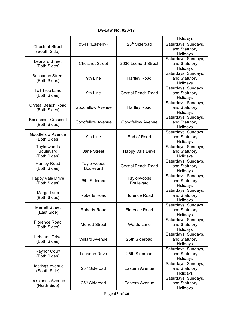|                                                 |                                 |                                 | Holidays                                         |
|-------------------------------------------------|---------------------------------|---------------------------------|--------------------------------------------------|
| <b>Chestnut Street</b><br>(South Side)          | #641 (Easterly)                 | 25 <sup>th</sup> Sideroad       | Saturdays, Sundays,<br>and Statutory<br>Holidays |
| <b>Leonard Street</b><br>(Both Sides)           | <b>Chestnut Street</b>          | 2630 Leonard Street             | Saturdays, Sundays,<br>and Statutory<br>Holidays |
| <b>Buchanan Street</b><br>(Both Sides)          | 9th Line                        | <b>Hartley Road</b>             | Saturdays, Sundays,<br>and Statutory<br>Holidays |
| <b>Tall Tree Lane</b><br>(Both Sides)           | 9th Line                        | Crystal Beach Road              | Saturdays, Sundays,<br>and Statutory<br>Holidays |
| Crystal Beach Road<br>(Both Sides)              | <b>Goodfellow Avenue</b>        | <b>Hartley Road</b>             | Saturdays, Sundays,<br>and Statutory<br>Holidays |
| <b>Bonsecour Crescent</b><br>(Both Sides)       | <b>Goodfellow Avenue</b>        | <b>Goodfellow Avenue</b>        | Saturdays, Sundays,<br>and Statutory<br>Holidays |
| <b>Goodfellow Avenue</b><br>(Both Sides)        | 9th Line                        | End of Road                     | Saturdays, Sundays,<br>and Statutory<br>Holidays |
| Taylorwoods<br><b>Boulevard</b><br>(Both Sides) | Jane Street                     | <b>Happy Vale Drive</b>         | Saturdays, Sundays,<br>and Statutory<br>Holidays |
| <b>Hartley Road</b><br>(Both Sides)             | Taylorwoods<br><b>Boulevard</b> | Crystal Beach Road              | Saturdays, Sundays,<br>and Statutory<br>Holidays |
| <b>Happy Vale Drive</b><br>(Both Sides)         | 25th Sideroad                   | Taylorwoods<br><b>Boulevard</b> | Saturdays, Sundays,<br>and Statutory<br>Holidays |
| Margs Lane<br>(Both Sides)                      | <b>Roberts Road</b>             | <b>Florence Road</b>            | Saturdays, Sundays,<br>and Statutory<br>Holidays |
| <b>Merrett Street</b><br>(East Side)            | Roberts Road                    | Florence Road                   | Saturdays, Sundays,<br>and Statutory<br>Holidays |
| <b>Florence Road</b><br>(Both Sides)            | <b>Merrett Street</b>           | <b>Wards Lane</b>               | Saturdays, Sundays,<br>and Statutory<br>Holidays |
| Lebanon Drive<br>(Both Sides)                   | <b>Willard Avenue</b>           | 25th Sideroad                   | Saturdays, Sundays,<br>and Statutory<br>Holidays |
| <b>Raynor Court</b><br>(Both Sides)             | Lebanon Drive                   | 25th Sideroad                   | Saturdays, Sundays,<br>and Statutory<br>Holidays |
| <b>Hastings Avenue</b><br>(South Side)          | 25th Sideroad                   | Eastern Avenue                  | Saturdays, Sundays,<br>and Statutory<br>Holidays |
| Lakelands Avenue<br>(North Side)                | 25th Sideroad                   | Eastern Avenue                  | Saturdays, Sundays,<br>and Statutory<br>Holidays |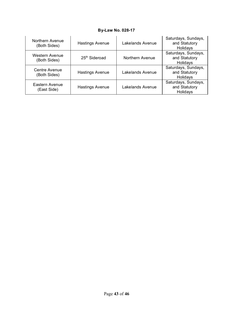| Northern Avenue<br>(Both Sides)      | <b>Hastings Avenue</b> | Lakelands Avenue | Saturdays, Sundays,<br>and Statutory<br>Holidays |
|--------------------------------------|------------------------|------------------|--------------------------------------------------|
| Western Avenue<br>(Both Sides)       | 25th Sideroad          | Northern Avenue  | Saturdays, Sundays,<br>and Statutory<br>Holidays |
| <b>Centre Avenue</b><br>(Both Sides) | <b>Hastings Avenue</b> | Lakelands Avenue | Saturdays, Sundays,<br>and Statutory<br>Holidays |
| Eastern Avenue<br>(East Side)        | <b>Hastings Avenue</b> | Lakelands Avenue | Saturdays, Sundays,<br>and Statutory<br>Holidays |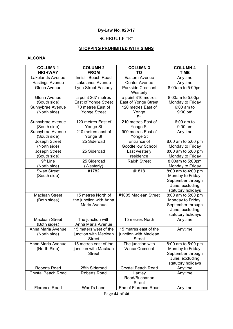# **SCHEDULE "E"**

# **STOPPING PROHIBITED WITH SIGNS**

## **ALCONA**

| <b>COLUMN1</b>                       | <b>COLUMN 2</b>        | <b>COLUMN 3</b>                  | <b>COLUMN 4</b>                        |
|--------------------------------------|------------------------|----------------------------------|----------------------------------------|
| <b>HIGHWAY</b>                       | <b>FROM</b>            | TO                               | <b>TIME</b>                            |
| Lakelands Avenue                     | Innisfil Beach Road    | Eastern Avenue                   | Anytime                                |
| <b>Hastings Avenue</b>               | Lakelands Avenue       | <b>Center Avenue</b>             | Anytime                                |
| <b>Glenn Avenue</b>                  | Lynn Street Easterly   | <b>Parkside Crescent</b>         | 8:00am to 5:00pm                       |
|                                      |                        | Westerly                         |                                        |
| Glenn Avenue                         | a point 267 metres     | a point 310 metres               | 8:00am to 5:00pm                       |
| (South side)                         | East of Yonge Street   | East of Yonge Street             | Monday to Friday                       |
| Sunnybrae Avenue                     | 70 metres East of      | 120 metres East of               | $6:00$ am to                           |
| (North side)                         | <b>Yonge Street</b>    | Yonge                            | 9:00 pm                                |
|                                      |                        | St.                              |                                        |
| Sunnybrae Avenue                     | 120 metres East of     | 210 metres East of               | $6:00$ am to                           |
| (South side)                         | Yonge St               | Yonge St                         | 9:00 pm                                |
| Sunnybrae Avenue                     | 210 metres east of     | 900 metres East of               | Anytime                                |
| (South side)                         | Yonge St               | Yonge St                         |                                        |
| Joseph Street                        | 25 Sideroad            | Entrance of                      | 8:00 am to 5:00 pm                     |
| (North side)                         |                        | Goodfellow School                | Monday to Friday                       |
| Joseph Street                        | 25 Sideroad            | Last westerly                    | 8:00 am to 5:00 pm                     |
| (South side)<br>9 <sup>th</sup> Line | 25 Sideroad            | residence<br><b>Ralph Street</b> | Monday to Friday                       |
|                                      |                        |                                  | 8:00am to 5:00pm                       |
| (North side)<br><b>Swan Street</b>   | (Westerly)<br>#1782    | #1818                            | Monday to Friday<br>8:00 am to 4:00 pm |
| (South side)                         |                        |                                  | Monday to Friday,                      |
|                                      |                        |                                  | September through                      |
|                                      |                        |                                  | June, excluding                        |
|                                      |                        |                                  | statutory holidays                     |
| <b>Maclean Street</b>                | 15 metres North of     | #1005 Maclean Street             | 8:00 am to 5:00 pm                     |
| (Both sides)                         | the junction with Anna |                                  | Monday to Friday,                      |
|                                      | Maria Avenue           |                                  | September through                      |
|                                      |                        |                                  | June, excluding                        |
|                                      |                        |                                  | statutory holidays                     |
| <b>Maclean Street</b>                | The junction with      | 15 metres North                  | Anytime                                |
| (Both sides)                         | Anna Maria Avenue      |                                  |                                        |
| Anna Maria Avenue                    | 15 meters west of the  | 15 metres east of the            | Anytime                                |
| (North side)                         | junction with Maclean  | junction with Maclean            |                                        |
|                                      | <b>Street</b>          | <b>Street</b>                    |                                        |
| Anna Maria Avenue                    | 15 metres east of the  | The junction with                | 8:00 am to 5:00 pm                     |
| (North Side)                         | junction with Maclean  | <b>Vance Crescent</b>            | Monday to Friday,                      |
|                                      | <b>Street</b>          |                                  | September through                      |
|                                      |                        |                                  | June, excluding                        |
|                                      |                        |                                  | statutory holidays                     |
| <b>Roberts Road</b>                  | 25th Sideroad          | <b>Crystal Beach Road</b>        | Anytime                                |
| <b>Crystal Beach Road</b>            | <b>Roberts Road</b>    | Hartley                          | Anytime                                |
|                                      |                        | Road/Buchanan                    |                                        |
|                                      |                        | <b>Street</b>                    |                                        |
| <b>Florence Road</b>                 | Ward's Lane            | End of Florence Road             | Anytime                                |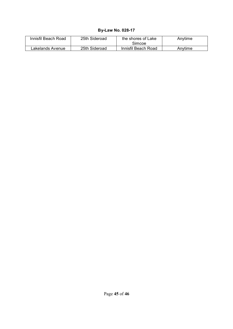| Innisfil Beach Road | 25th Sideroad | the shores of Lake<br>Simcoe | Anytime |
|---------------------|---------------|------------------------------|---------|
| Lakelands Avenue    | 25th Sideroad | Innisfil Beach Road          | Anvtime |